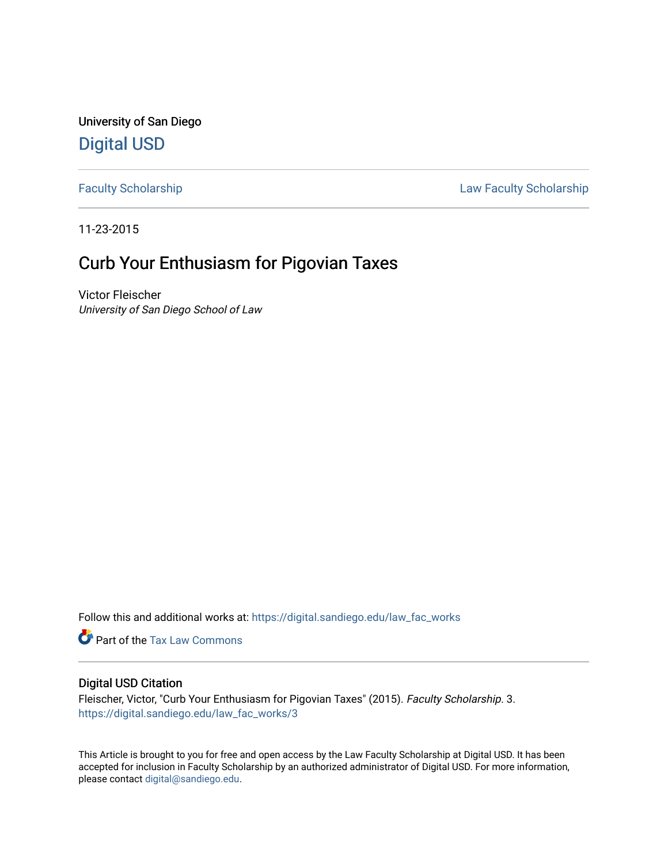University of San Diego [Digital USD](https://digital.sandiego.edu/)

[Faculty Scholarship](https://digital.sandiego.edu/law_fac_works) **Example 2018** Law Faculty Scholarship

11-23-2015

# Curb Your Enthusiasm for Pigovian Taxes

Victor Fleischer University of San Diego School of Law

Follow this and additional works at: [https://digital.sandiego.edu/law\\_fac\\_works](https://digital.sandiego.edu/law_fac_works?utm_source=digital.sandiego.edu%2Flaw_fac_works%2F3&utm_medium=PDF&utm_campaign=PDFCoverPages) 

Part of the [Tax Law Commons](http://network.bepress.com/hgg/discipline/898?utm_source=digital.sandiego.edu%2Flaw_fac_works%2F3&utm_medium=PDF&utm_campaign=PDFCoverPages)

## Digital USD Citation

Fleischer, Victor, "Curb Your Enthusiasm for Pigovian Taxes" (2015). Faculty Scholarship. 3. [https://digital.sandiego.edu/law\\_fac\\_works/3](https://digital.sandiego.edu/law_fac_works/3?utm_source=digital.sandiego.edu%2Flaw_fac_works%2F3&utm_medium=PDF&utm_campaign=PDFCoverPages)

This Article is brought to you for free and open access by the Law Faculty Scholarship at Digital USD. It has been accepted for inclusion in Faculty Scholarship by an authorized administrator of Digital USD. For more information, please contact [digital@sandiego.edu.](mailto:digital@sandiego.edu)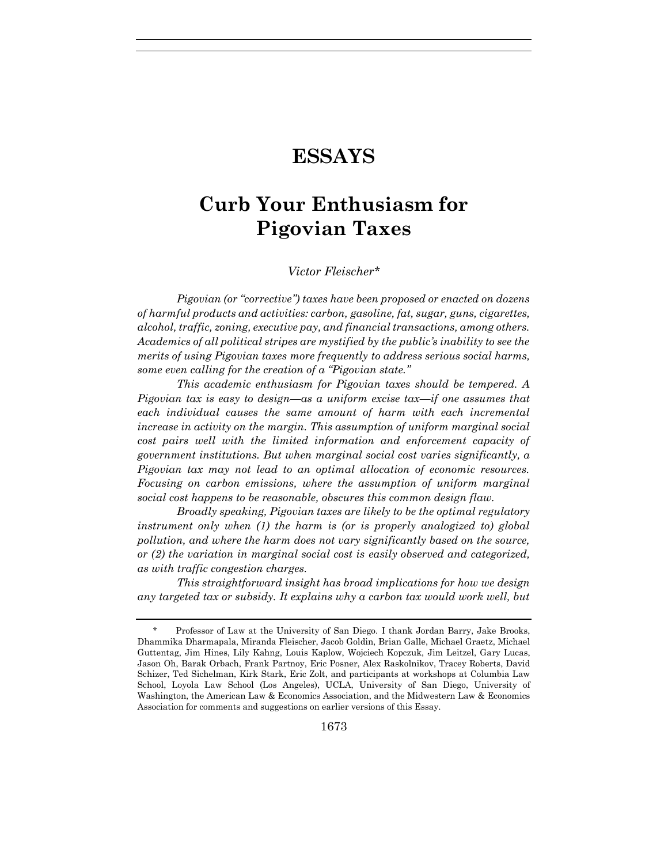# **ESSAYS**

# **Curb Your Enthusiasm for Pigovian Taxes**

#### *Victor Fleischer\**

*Pigovian (or "corrective") taxes have been proposed or enacted on dozens of harmful products and activities: carbon, gasoline, fat, sugar, guns, cigarettes, alcohol, traffic, zoning, executive pay, and financial transactions, among others. Academics of all political stripes are mystified by the public's inability to see the merits of using Pigovian taxes more frequently to address serious social harms, some even calling for the creation of a "Pigovian state."*

*This academic enthusiasm for Pigovian taxes should be tempered. A Pigovian tax is easy to design—as a uniform excise tax—if one assumes that each individual causes the same amount of harm with each incremental increase in activity on the margin. This assumption of uniform marginal social cost pairs well with the limited information and enforcement capacity of government institutions. But when marginal social cost varies significantly, a Pigovian tax may not lead to an optimal allocation of economic resources. Focusing on carbon emissions, where the assumption of uniform marginal social cost happens to be reasonable, obscures this common design flaw.*

*Broadly speaking, Pigovian taxes are likely to be the optimal regulatory instrument only when (1) the harm is (or is properly analogized to) global pollution, and where the harm does not vary significantly based on the source, or (2) the variation in marginal social cost is easily observed and categorized, as with traffic congestion charges.*

*This straightforward insight has broad implications for how we design any targeted tax or subsidy. It explains why a carbon tax would work well, but* 

<sup>\*</sup> Professor of Law at the University of San Diego. I thank Jordan Barry, Jake Brooks, Dhammika Dharmapala, Miranda Fleischer, Jacob Goldin, Brian Galle, Michael Graetz, Michael Guttentag, Jim Hines, Lily Kahng, Louis Kaplow, Wojciech Kopczuk, Jim Leitzel, Gary Lucas, Jason Oh, Barak Orbach, Frank Partnoy, Eric Posner, Alex Raskolnikov, Tracey Roberts, David Schizer, Ted Sichelman, Kirk Stark, Eric Zolt, and participants at workshops at Columbia Law School, Loyola Law School (Los Angeles), UCLA, University of San Diego, University of Washington, the American Law & Economics Association, and the Midwestern Law & Economics Association for comments and suggestions on earlier versions of this Essay.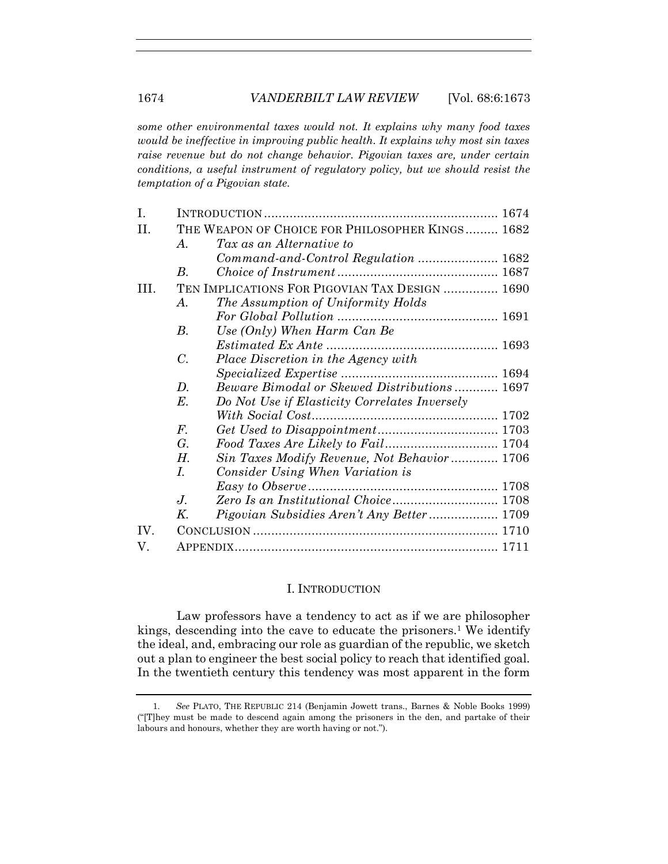*some other environmental taxes would not. It explains why many food taxes would be ineffective in improving public health. It explains why most sin taxes raise revenue but do not change behavior. Pigovian taxes are, under certain conditions, a useful instrument of regulatory policy, but we should resist the temptation of a Pigovian state.* 

| I.   |             |                                                 |  |  |  |
|------|-------------|-------------------------------------------------|--|--|--|
| II.  |             | THE WEAPON OF CHOICE FOR PHILOSOPHER KINGS 1682 |  |  |  |
|      | $\bm{A}$ .  | Tax as an Alternative to                        |  |  |  |
|      |             | Command-and-Control Regulation  1682            |  |  |  |
|      | B.          |                                                 |  |  |  |
| III. |             | TEN IMPLICATIONS FOR PIGOVIAN TAX DESIGN  1690  |  |  |  |
|      | A.          | The Assumption of Uniformity Holds              |  |  |  |
|      |             |                                                 |  |  |  |
|      | $B$ .       | Use (Only) When Harm Can Be                     |  |  |  |
|      |             |                                                 |  |  |  |
|      | $C$ .       | Place Discretion in the Agency with             |  |  |  |
|      |             |                                                 |  |  |  |
|      | D.          | Beware Bimodal or Skewed Distributions 1697     |  |  |  |
|      | $E$ .       | Do Not Use if Elasticity Correlates Inversely   |  |  |  |
|      |             |                                                 |  |  |  |
|      | $F_{\cdot}$ |                                                 |  |  |  |
|      | G.          |                                                 |  |  |  |
|      | Н.          | Sin Taxes Modify Revenue, Not Behavior 1706     |  |  |  |
|      | I.          | Consider Using When Variation is                |  |  |  |
|      |             |                                                 |  |  |  |
|      | $J_{\cdot}$ |                                                 |  |  |  |
|      | Κ.          | Pigovian Subsidies Aren't Any Better  1709      |  |  |  |
| IV.  |             |                                                 |  |  |  |
| V.   |             |                                                 |  |  |  |

#### I. INTRODUCTION

Law professors have a tendency to act as if we are philosopher kings, descending into the cave to educate the prisoners.<sup>1</sup> We identify the ideal, and, embracing our role as guardian of the republic, we sketch out a plan to engineer the best social policy to reach that identified goal. In the twentieth century this tendency was most apparent in the form

<sup>1.</sup> *See* PLATO, THE REPUBLIC 214 (Benjamin Jowett trans., Barnes & Noble Books 1999) ("[T]hey must be made to descend again among the prisoners in the den, and partake of their labours and honours, whether they are worth having or not.").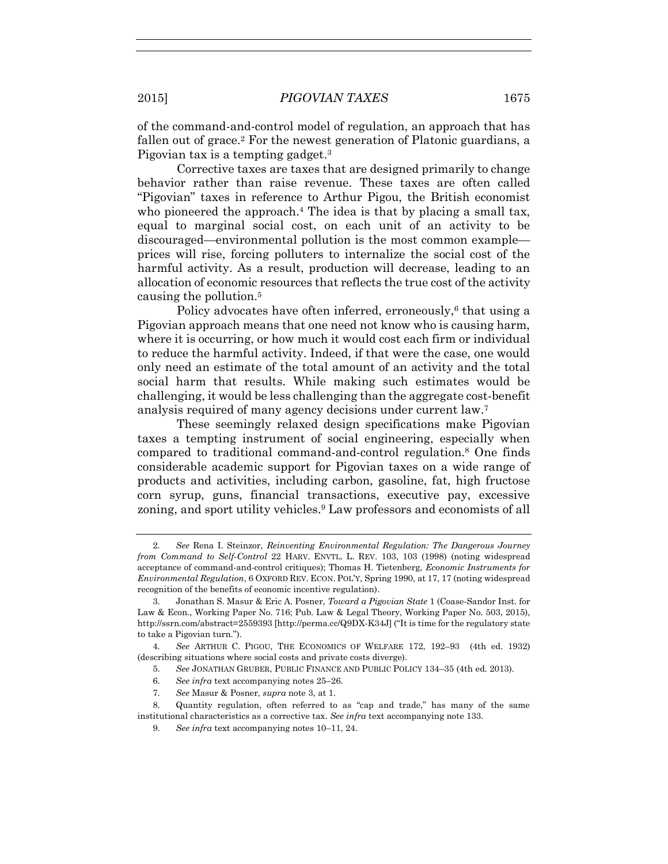of the command-and-control model of regulation, an approach that has fallen out of grace.<sup>2</sup> For the newest generation of Platonic guardians, a Pigovian tax is a tempting gadget.<sup>3</sup>

Corrective taxes are taxes that are designed primarily to change behavior rather than raise revenue. These taxes are often called "Pigovian" taxes in reference to Arthur Pigou, the British economist who pioneered the approach.<sup>4</sup> The idea is that by placing a small tax, equal to marginal social cost, on each unit of an activity to be discouraged—environmental pollution is the most common example prices will rise, forcing polluters to internalize the social cost of the harmful activity. As a result, production will decrease, leading to an allocation of economic resources that reflects the true cost of the activity causing the pollution.<sup>5</sup>

Policy advocates have often inferred, erroneously,<sup>6</sup> that using a Pigovian approach means that one need not know who is causing harm, where it is occurring, or how much it would cost each firm or individual to reduce the harmful activity. Indeed, if that were the case, one would only need an estimate of the total amount of an activity and the total social harm that results. While making such estimates would be challenging, it would be less challenging than the aggregate cost-benefit analysis required of many agency decisions under current law.<sup>7</sup>

These seemingly relaxed design specifications make Pigovian taxes a tempting instrument of social engineering, especially when compared to traditional command-and-control regulation.<sup>8</sup> One finds considerable academic support for Pigovian taxes on a wide range of products and activities, including carbon, gasoline, fat, high fructose corn syrup, guns, financial transactions, executive pay, excessive zoning, and sport utility vehicles.<sup>9</sup> Law professors and economists of all

4. *See* ARTHUR C. PIGOU, THE ECONOMICS OF WELFARE 172, 192–93 (4th ed. 1932) (describing situations where social costs and private costs diverge).

5. *See* JONATHAN GRUBER, PUBLIC FINANCE AND PUBLIC POLICY 134–35 (4th ed. 2013).

- 6. *See infra* text accompanying notes 25–26.
- 7. *See* Masur & Posner, *supra* note 3, at 1.

<sup>2.</sup> *See* Rena I. Steinzor, *Reinventing Environmental Regulation: The Dangerous Journey from Command to Self-Control* 22 HARV. ENVTL. L. REV. 103, 103 (1998) (noting widespread acceptance of command-and-control critiques); Thomas H. Tietenberg, *Economic Instruments for Environmental Regulation*, 6 OXFORD REV. ECON. POL'Y, Spring 1990, at 17, 17 (noting widespread recognition of the benefits of economic incentive regulation).

<sup>3.</sup> Jonathan S. Masur & Eric A. Posner, *Toward a Pigovian State* 1 (Coase-Sandor Inst. for Law & Econ., Working Paper No. 716; Pub. Law & Legal Theory, Working Paper No. 503, 2015), http://ssrn.com/abstract=2559393 [http://perma.cc/Q9DX-K34J] ("It is time for the regulatory state to take a Pigovian turn.").

<sup>8.</sup> Quantity regulation, often referred to as "cap and trade," has many of the same institutional characteristics as a corrective tax. *See infra* text accompanying note 133.

<sup>9.</sup> *See infra* text accompanying notes 10–11, 24.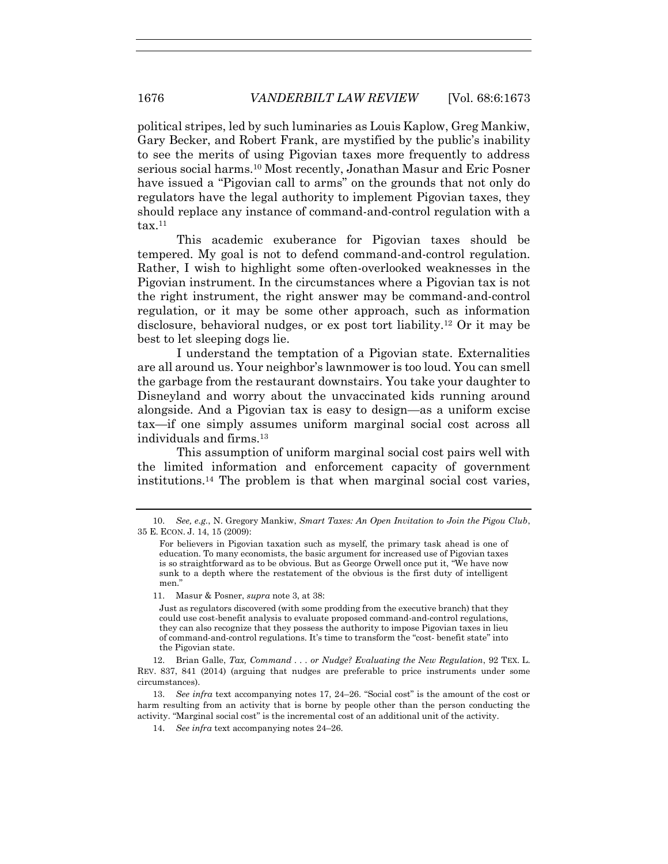political stripes, led by such luminaries as Louis Kaplow, Greg Mankiw, Gary Becker, and Robert Frank, are mystified by the public's inability to see the merits of using Pigovian taxes more frequently to address serious social harms.10 Most recently, Jonathan Masur and Eric Posner have issued a "Pigovian call to arms" on the grounds that not only do regulators have the legal authority to implement Pigovian taxes, they should replace any instance of command-and-control regulation with a  $\text{tax}.^{11}$ 

This academic exuberance for Pigovian taxes should be tempered. My goal is not to defend command-and-control regulation. Rather, I wish to highlight some often-overlooked weaknesses in the Pigovian instrument. In the circumstances where a Pigovian tax is not the right instrument, the right answer may be command-and-control regulation, or it may be some other approach, such as information disclosure, behavioral nudges, or ex post tort liability.12 Or it may be best to let sleeping dogs lie.

I understand the temptation of a Pigovian state. Externalities are all around us. Your neighbor's lawnmower is too loud. You can smell the garbage from the restaurant downstairs. You take your daughter to Disneyland and worry about the unvaccinated kids running around alongside. And a Pigovian tax is easy to design—as a uniform excise tax—if one simply assumes uniform marginal social cost across all individuals and firms.<sup>13</sup>

This assumption of uniform marginal social cost pairs well with the limited information and enforcement capacity of government institutions.14 The problem is that when marginal social cost varies,

14. *See infra* text accompanying notes 24–26.

<sup>10.</sup> *See, e.g.*, N. Gregory Mankiw, *Smart Taxes: An Open Invitation to Join the Pigou Club*, 35 E. ECON. J. 14, 15 (2009):

For believers in Pigovian taxation such as myself, the primary task ahead is one of education. To many economists, the basic argument for increased use of Pigovian taxes is so straightforward as to be obvious. But as George Orwell once put it, "We have now sunk to a depth where the restatement of the obvious is the first duty of intelligent men."

<sup>11.</sup> Masur & Posner, *supra* note 3, at 38:

Just as regulators discovered (with some prodding from the executive branch) that they could use cost-benefit analysis to evaluate proposed command-and-control regulations, they can also recognize that they possess the authority to impose Pigovian taxes in lieu of command-and-control regulations. It's time to transform the "cost- benefit state" into the Pigovian state.

<sup>12.</sup> Brian Galle, *Tax, Command . . . or Nudge? Evaluating the New Regulation*, 92 TEX. L. REV. 837, 841 (2014) (arguing that nudges are preferable to price instruments under some circumstances).

<sup>13.</sup> *See infra* text accompanying notes 17, 24–26. "Social cost" is the amount of the cost or harm resulting from an activity that is borne by people other than the person conducting the activity. "Marginal social cost" is the incremental cost of an additional unit of the activity.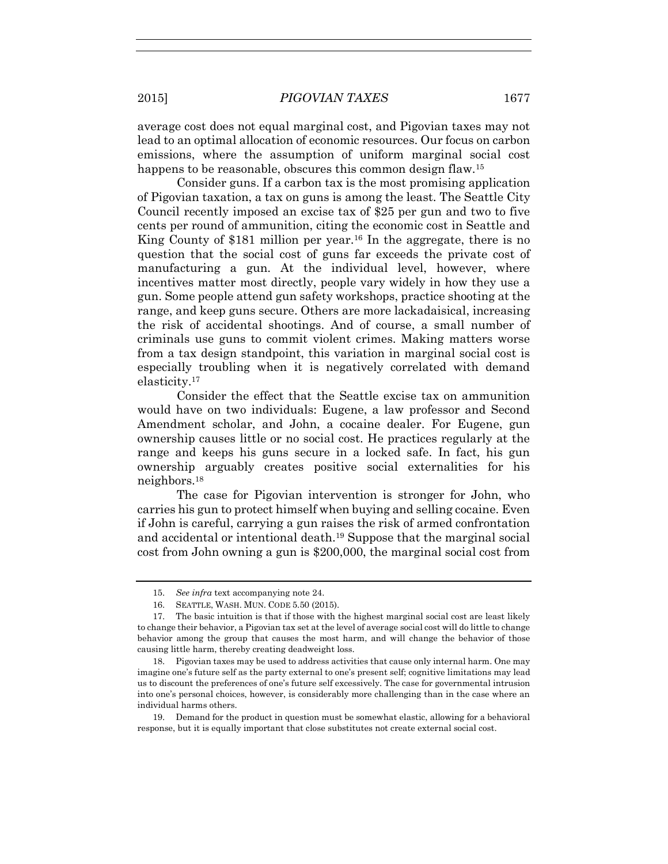lead to an optimal allocation of economic resources. Our focus on carbon emissions, where the assumption of uniform marginal social cost happens to be reasonable, obscures this common design flaw.<sup>15</sup>

Consider guns. If a carbon tax is the most promising application of Pigovian taxation, a tax on guns is among the least. The Seattle City Council recently imposed an excise tax of \$25 per gun and two to five cents per round of ammunition, citing the economic cost in Seattle and King County of \$181 million per year.<sup>16</sup> In the aggregate, there is no question that the social cost of guns far exceeds the private cost of manufacturing a gun. At the individual level, however, where incentives matter most directly, people vary widely in how they use a gun. Some people attend gun safety workshops, practice shooting at the range, and keep guns secure. Others are more lackadaisical, increasing the risk of accidental shootings. And of course, a small number of criminals use guns to commit violent crimes. Making matters worse from a tax design standpoint, this variation in marginal social cost is especially troubling when it is negatively correlated with demand elasticity.<sup>17</sup>

Consider the effect that the Seattle excise tax on ammunition would have on two individuals: Eugene, a law professor and Second Amendment scholar, and John, a cocaine dealer. For Eugene, gun ownership causes little or no social cost. He practices regularly at the range and keeps his guns secure in a locked safe. In fact, his gun ownership arguably creates positive social externalities for his neighbors.<sup>18</sup>

The case for Pigovian intervention is stronger for John, who carries his gun to protect himself when buying and selling cocaine. Even if John is careful, carrying a gun raises the risk of armed confrontation and accidental or intentional death.19 Suppose that the marginal social cost from John owning a gun is \$200,000, the marginal social cost from

<sup>15.</sup> *See infra* text accompanying note 24.

<sup>16.</sup> SEATTLE, WASH. MUN. CODE 5.50 (2015).

<sup>17.</sup> The basic intuition is that if those with the highest marginal social cost are least likely to change their behavior, a Pigovian tax set at the level of average social cost will do little to change behavior among the group that causes the most harm, and will change the behavior of those causing little harm, thereby creating deadweight loss.

<sup>18.</sup> Pigovian taxes may be used to address activities that cause only internal harm. One may imagine one's future self as the party external to one's present self; cognitive limitations may lead us to discount the preferences of one's future self excessively. The case for governmental intrusion into one's personal choices, however, is considerably more challenging than in the case where an individual harms others.

<sup>19.</sup> Demand for the product in question must be somewhat elastic, allowing for a behavioral response, but it is equally important that close substitutes not create external social cost.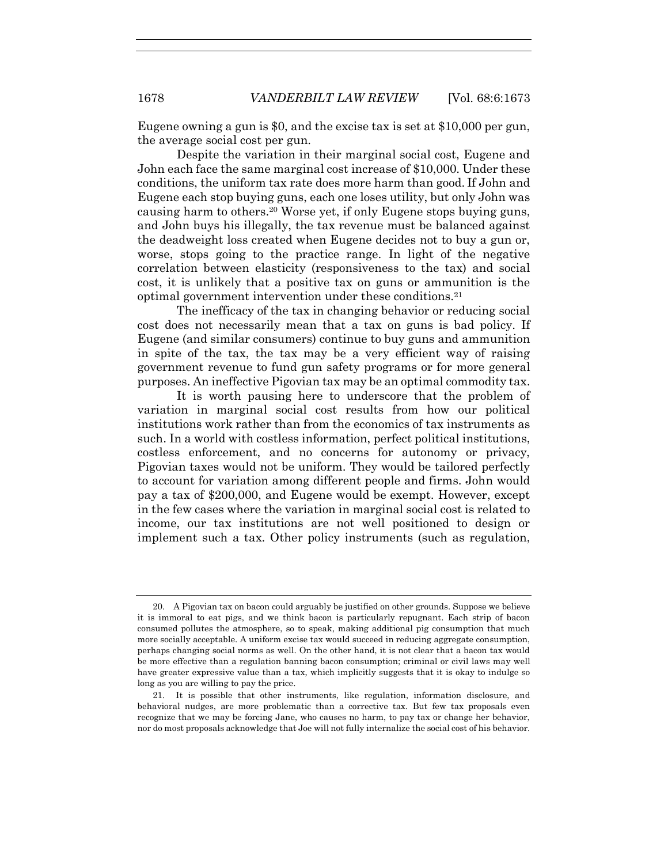Eugene owning a gun is \$0, and the excise tax is set at \$10,000 per gun, the average social cost per gun.

Despite the variation in their marginal social cost, Eugene and John each face the same marginal cost increase of \$10,000. Under these conditions, the uniform tax rate does more harm than good. If John and Eugene each stop buying guns, each one loses utility, but only John was causing harm to others.20 Worse yet, if only Eugene stops buying guns, and John buys his illegally, the tax revenue must be balanced against the deadweight loss created when Eugene decides not to buy a gun or, worse, stops going to the practice range. In light of the negative correlation between elasticity (responsiveness to the tax) and social cost, it is unlikely that a positive tax on guns or ammunition is the optimal government intervention under these conditions.<sup>21</sup>

The inefficacy of the tax in changing behavior or reducing social cost does not necessarily mean that a tax on guns is bad policy. If Eugene (and similar consumers) continue to buy guns and ammunition in spite of the tax, the tax may be a very efficient way of raising government revenue to fund gun safety programs or for more general purposes. An ineffective Pigovian tax may be an optimal commodity tax.

It is worth pausing here to underscore that the problem of variation in marginal social cost results from how our political institutions work rather than from the economics of tax instruments as such. In a world with costless information, perfect political institutions, costless enforcement, and no concerns for autonomy or privacy, Pigovian taxes would not be uniform. They would be tailored perfectly to account for variation among different people and firms. John would pay a tax of \$200,000, and Eugene would be exempt. However, except in the few cases where the variation in marginal social cost is related to income, our tax institutions are not well positioned to design or implement such a tax. Other policy instruments (such as regulation,

<sup>20.</sup> A Pigovian tax on bacon could arguably be justified on other grounds. Suppose we believe it is immoral to eat pigs, and we think bacon is particularly repugnant. Each strip of bacon consumed pollutes the atmosphere, so to speak, making additional pig consumption that much more socially acceptable. A uniform excise tax would succeed in reducing aggregate consumption, perhaps changing social norms as well. On the other hand, it is not clear that a bacon tax would be more effective than a regulation banning bacon consumption; criminal or civil laws may well have greater expressive value than a tax, which implicitly suggests that it is okay to indulge so long as you are willing to pay the price.

<sup>21.</sup> It is possible that other instruments, like regulation, information disclosure, and behavioral nudges, are more problematic than a corrective tax. But few tax proposals even recognize that we may be forcing Jane, who causes no harm, to pay tax or change her behavior, nor do most proposals acknowledge that Joe will not fully internalize the social cost of his behavior.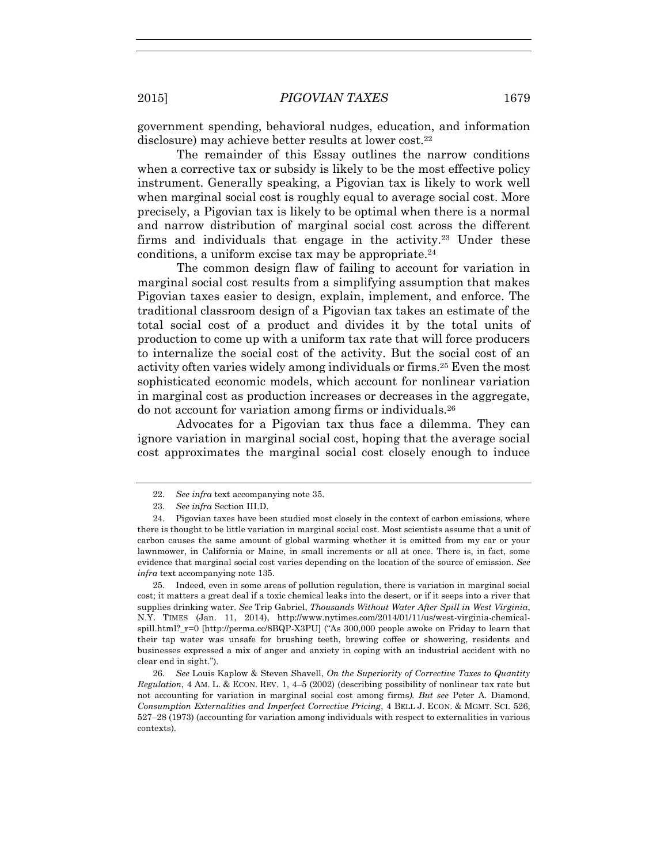government spending, behavioral nudges, education, and information disclosure) may achieve better results at lower cost.<sup>22</sup>

The remainder of this Essay outlines the narrow conditions when a corrective tax or subsidy is likely to be the most effective policy instrument. Generally speaking, a Pigovian tax is likely to work well when marginal social cost is roughly equal to average social cost. More precisely, a Pigovian tax is likely to be optimal when there is a normal and narrow distribution of marginal social cost across the different firms and individuals that engage in the activity.23 Under these conditions, a uniform excise tax may be appropriate. $24$ 

The common design flaw of failing to account for variation in marginal social cost results from a simplifying assumption that makes Pigovian taxes easier to design, explain, implement, and enforce. The traditional classroom design of a Pigovian tax takes an estimate of the total social cost of a product and divides it by the total units of production to come up with a uniform tax rate that will force producers to internalize the social cost of the activity. But the social cost of an activity often varies widely among individuals or firms.25 Even the most sophisticated economic models, which account for nonlinear variation in marginal cost as production increases or decreases in the aggregate, do not account for variation among firms or individuals.<sup>26</sup>

Advocates for a Pigovian tax thus face a dilemma. They can ignore variation in marginal social cost, hoping that the average social cost approximates the marginal social cost closely enough to induce

25. Indeed, even in some areas of pollution regulation, there is variation in marginal social cost; it matters a great deal if a toxic chemical leaks into the desert, or if it seeps into a river that supplies drinking water. *See* Trip Gabriel, *Thousands Without Water After Spill in West Virginia*, N.Y. TIMES (Jan. 11, 2014), http://www.nytimes.com/2014/01/11/us/west-virginia-chemicalspill.html?\_r=0 [http://perma.cc/8BQP-X3PU] ("As 300,000 people awoke on Friday to learn that their tap water was unsafe for brushing teeth, brewing coffee or showering, residents and businesses expressed a mix of anger and anxiety in coping with an industrial accident with no clear end in sight.").

26. *See* Louis Kaplow & Steven Shavell, *On the Superiority of Corrective Taxes to Quantity Regulation*, 4 AM. L. & ECON. REV. 1, 4–5 (2002) (describing possibility of nonlinear tax rate but not accounting for variation in marginal social cost among firms*). But see* Peter A. Diamond, *Consumption Externalities and Imperfect Corrective Pricing*, 4 BELL J. ECON. & MGMT. SCI. 526, 527–28 (1973) (accounting for variation among individuals with respect to externalities in various contexts).

<sup>22.</sup> *See infra* text accompanying note 35.

<sup>23.</sup> *See infra* Section III.D.

<sup>24.</sup> Pigovian taxes have been studied most closely in the context of carbon emissions, where there is thought to be little variation in marginal social cost. Most scientists assume that a unit of carbon causes the same amount of global warming whether it is emitted from my car or your lawnmower, in California or Maine, in small increments or all at once. There is, in fact, some evidence that marginal social cost varies depending on the location of the source of emission. *See infra* text accompanying note 135.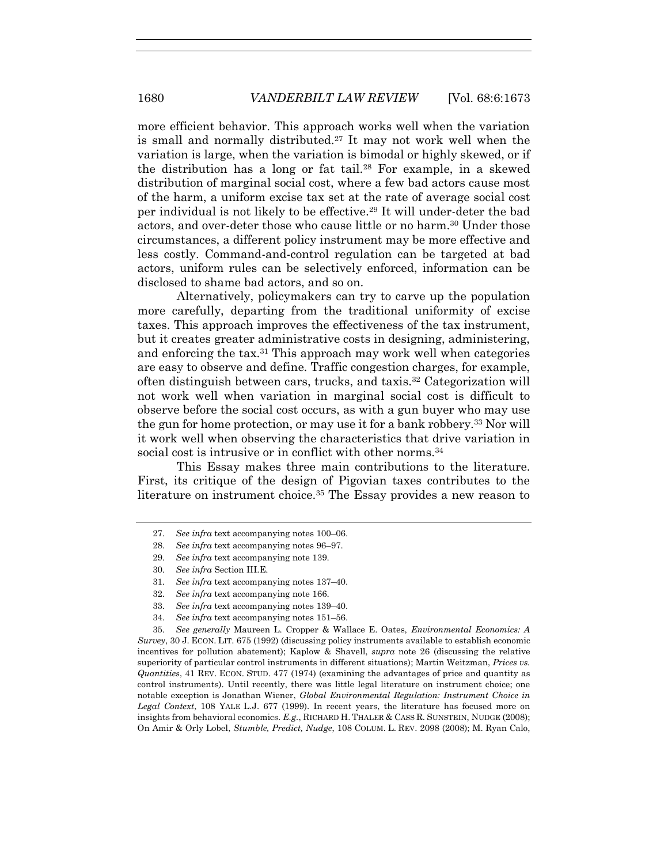more efficient behavior. This approach works well when the variation is small and normally distributed.27 It may not work well when the variation is large, when the variation is bimodal or highly skewed, or if the distribution has a long or fat tail.<sup>28</sup> For example, in a skewed distribution of marginal social cost, where a few bad actors cause most of the harm, a uniform excise tax set at the rate of average social cost per individual is not likely to be effective.29 It will under-deter the bad actors, and over-deter those who cause little or no harm.30 Under those circumstances, a different policy instrument may be more effective and less costly. Command-and-control regulation can be targeted at bad actors, uniform rules can be selectively enforced, information can be disclosed to shame bad actors, and so on.

Alternatively, policymakers can try to carve up the population more carefully, departing from the traditional uniformity of excise taxes. This approach improves the effectiveness of the tax instrument, but it creates greater administrative costs in designing, administering, and enforcing the tax.<sup>31</sup> This approach may work well when categories are easy to observe and define. Traffic congestion charges, for example, often distinguish between cars, trucks, and taxis.32 Categorization will not work well when variation in marginal social cost is difficult to observe before the social cost occurs, as with a gun buyer who may use the gun for home protection, or may use it for a bank robbery.33 Nor will it work well when observing the characteristics that drive variation in social cost is intrusive or in conflict with other norms.<sup>34</sup>

This Essay makes three main contributions to the literature. First, its critique of the design of Pigovian taxes contributes to the literature on instrument choice.<sup>35</sup> The Essay provides a new reason to

- 29. *See infra* text accompanying note 139.
- 30. *See infra* Section III.E.

- 33. *See infra* text accompanying notes 139–40.
- 34. *See infra* text accompanying notes 151–56.

35. *See generally* Maureen L. Cropper & Wallace E. Oates, *Environmental Economics: A Survey*, 30 J. ECON. LIT. 675 (1992) (discussing policy instruments available to establish economic incentives for pollution abatement); Kaplow & Shavell, *supra* note 26 (discussing the relative superiority of particular control instruments in different situations); Martin Weitzman, *Prices vs. Quantities*, 41 REV. ECON. STUD. 477 (1974) (examining the advantages of price and quantity as control instruments). Until recently, there was little legal literature on instrument choice; one notable exception is Jonathan Wiener, *Global Environmental Regulation: Instrument Choice in Legal Context*, 108 YALE L.J. 677 (1999). In recent years, the literature has focused more on insights from behavioral economics. *E.g.*, RICHARD H. THALER & CASS R. SUNSTEIN, NUDGE (2008); On Amir & Orly Lobel, *Stumble, Predict, Nudge*, 108 COLUM. L. REV. 2098 (2008); M. Ryan Calo,

<sup>27.</sup> *See infra* text accompanying notes 100–06.

<sup>28.</sup> *See infra* text accompanying notes 96–97.

<sup>31.</sup> *See infra* text accompanying notes 137–40.

<sup>32.</sup> *See infra* text accompanying note 166.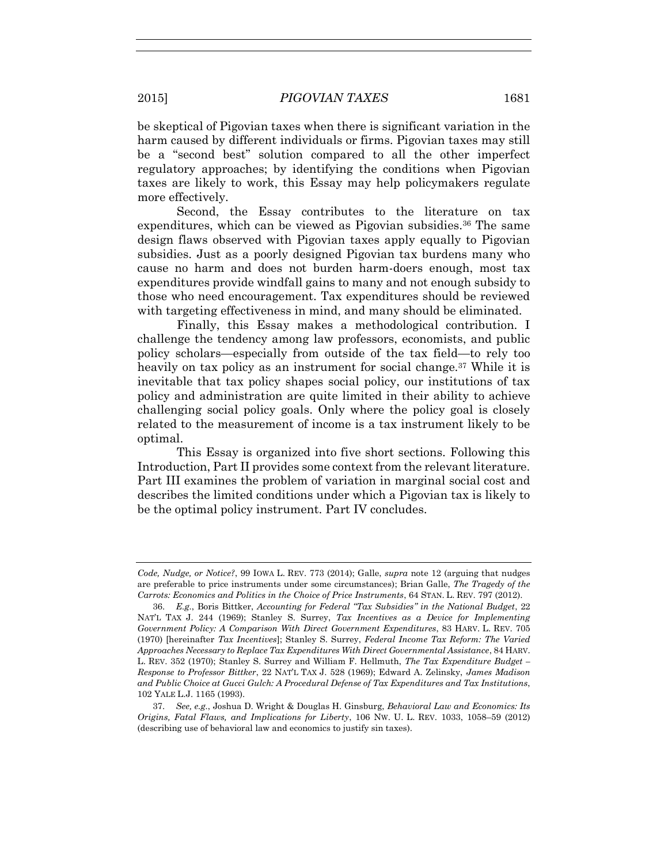be skeptical of Pigovian taxes when there is significant variation in the harm caused by different individuals or firms. Pigovian taxes may still be a "second best" solution compared to all the other imperfect regulatory approaches; by identifying the conditions when Pigovian taxes are likely to work, this Essay may help policymakers regulate more effectively.

Second, the Essay contributes to the literature on tax expenditures, which can be viewed as Pigovian subsidies.<sup>36</sup> The same design flaws observed with Pigovian taxes apply equally to Pigovian subsidies. Just as a poorly designed Pigovian tax burdens many who cause no harm and does not burden harm-doers enough, most tax expenditures provide windfall gains to many and not enough subsidy to those who need encouragement. Tax expenditures should be reviewed with targeting effectiveness in mind, and many should be eliminated.

Finally, this Essay makes a methodological contribution. I challenge the tendency among law professors, economists, and public policy scholars—especially from outside of the tax field—to rely too heavily on tax policy as an instrument for social change.<sup>37</sup> While it is inevitable that tax policy shapes social policy, our institutions of tax policy and administration are quite limited in their ability to achieve challenging social policy goals. Only where the policy goal is closely related to the measurement of income is a tax instrument likely to be optimal.

This Essay is organized into five short sections. Following this Introduction, Part II provides some context from the relevant literature. Part III examines the problem of variation in marginal social cost and describes the limited conditions under which a Pigovian tax is likely to be the optimal policy instrument. Part IV concludes.

*Code, Nudge, or Notice?*, 99 IOWA L. REV. 773 (2014); Galle, *supra* note 12 (arguing that nudges are preferable to price instruments under some circumstances); Brian Galle, *The Tragedy of the Carrots: Economics and Politics in the Choice of Price Instruments*, 64 STAN. L. REV. 797 (2012).

<sup>36.</sup> *E.g.*, Boris Bittker, *Accounting for Federal "Tax Subsidies" in the National Budget*, 22 NAT'L TAX J. 244 (1969); Stanley S. Surrey, *Tax Incentives as a Device for Implementing Government Policy: A Comparison With Direct Government Expenditures*, 83 HARV. L. REV. 705 (1970) [hereinafter *Tax Incentives*]; Stanley S. Surrey, *Federal Income Tax Reform: The Varied Approaches Necessary to Replace Tax Expenditures With Direct Governmental Assistance*, 84 HARV. L. REV. 352 (1970); Stanley S. Surrey and William F. Hellmuth, *The Tax Expenditure Budget – Response to Professor Bittker*, 22 NAT'L TAX J. 528 (1969); Edward A. Zelinsky, *James Madison and Public Choice at Gucci Gulch: A Procedural Defense of Tax Expenditures and Tax Institutions*, 102 YALE L.J. 1165 (1993).

<sup>37.</sup> *See, e.g.*, Joshua D. Wright & Douglas H. Ginsburg, *Behavioral Law and Economics: Its Origins, Fatal Flaws, and Implications for Liberty*, 106 NW. U. L. REV. 1033, 1058–59 (2012) (describing use of behavioral law and economics to justify sin taxes).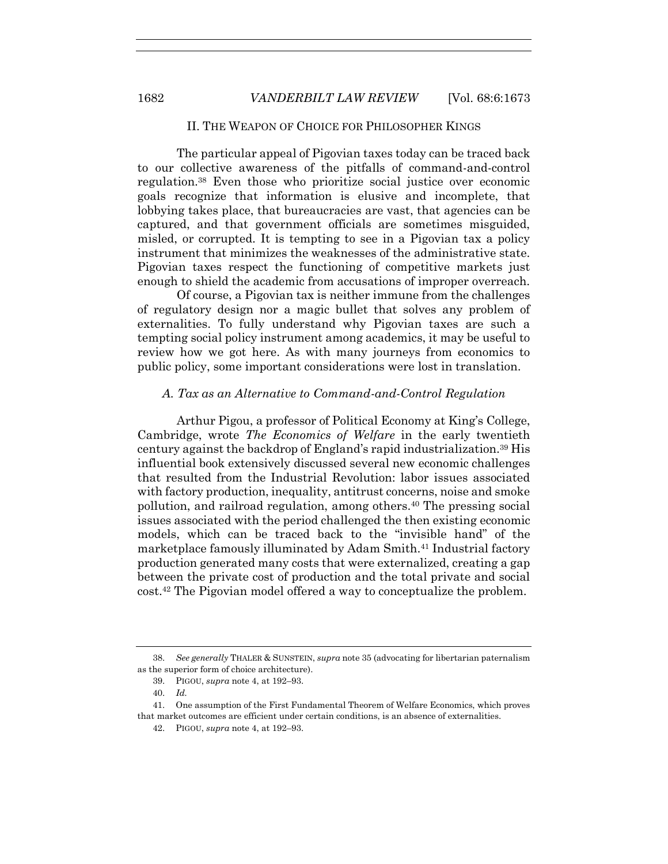#### II. THE WEAPON OF CHOICE FOR PHILOSOPHER KINGS

The particular appeal of Pigovian taxes today can be traced back to our collective awareness of the pitfalls of command-and-control regulation.38 Even those who prioritize social justice over economic goals recognize that information is elusive and incomplete, that lobbying takes place, that bureaucracies are vast, that agencies can be captured, and that government officials are sometimes misguided, misled, or corrupted. It is tempting to see in a Pigovian tax a policy instrument that minimizes the weaknesses of the administrative state. Pigovian taxes respect the functioning of competitive markets just enough to shield the academic from accusations of improper overreach.

Of course, a Pigovian tax is neither immune from the challenges of regulatory design nor a magic bullet that solves any problem of externalities. To fully understand why Pigovian taxes are such a tempting social policy instrument among academics, it may be useful to review how we got here. As with many journeys from economics to public policy, some important considerations were lost in translation.

#### *A. Tax as an Alternative to Command-and-Control Regulation*

Arthur Pigou, a professor of Political Economy at King's College, Cambridge, wrote *The Economics of Welfare* in the early twentieth century against the backdrop of England's rapid industrialization.39 His influential book extensively discussed several new economic challenges that resulted from the Industrial Revolution: labor issues associated with factory production, inequality, antitrust concerns, noise and smoke pollution, and railroad regulation, among others.40 The pressing social issues associated with the period challenged the then existing economic models, which can be traced back to the "invisible hand" of the marketplace famously illuminated by Adam Smith.41 Industrial factory production generated many costs that were externalized, creating a gap between the private cost of production and the total private and social cost.42 The Pigovian model offered a way to conceptualize the problem.

<sup>38.</sup> *See generally* THALER & SUNSTEIN, *supra* note 35 (advocating for libertarian paternalism as the superior form of choice architecture).

<sup>39.</sup> PIGOU, *supra* note 4, at 192–93.

<sup>40.</sup> *Id.*

<sup>41.</sup> One assumption of the First Fundamental Theorem of Welfare Economics, which proves that market outcomes are efficient under certain conditions, is an absence of externalities.

<sup>42.</sup> PIGOU, *supra* note 4, at 192–93.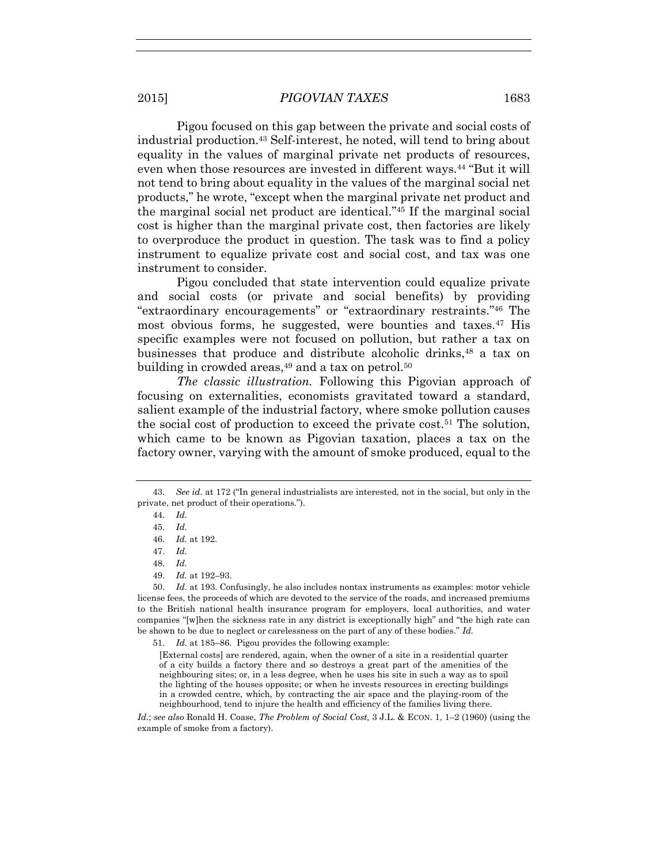Pigou focused on this gap between the private and social costs of industrial production.43 Self-interest, he noted, will tend to bring about equality in the values of marginal private net products of resources, even when those resources are invested in different ways.<sup>44</sup> "But it will not tend to bring about equality in the values of the marginal social net products," he wrote, "except when the marginal private net product and the marginal social net product are identical." <sup>45</sup> If the marginal social cost is higher than the marginal private cost, then factories are likely to overproduce the product in question. The task was to find a policy instrument to equalize private cost and social cost, and tax was one instrument to consider.

Pigou concluded that state intervention could equalize private and social costs (or private and social benefits) by providing "extraordinary encouragements" or "extraordinary restraints." <sup>46</sup> The most obvious forms, he suggested, were bounties and taxes.<sup>47</sup> His specific examples were not focused on pollution, but rather a tax on businesses that produce and distribute alcoholic drinks,<sup>48</sup> a tax on building in crowded areas,  $49$  and a tax on petrol.  $50$ 

*The classic illustration.* Following this Pigovian approach of focusing on externalities, economists gravitated toward a standard, salient example of the industrial factory, where smoke pollution causes the social cost of production to exceed the private cost.51 The solution, which came to be known as Pigovian taxation, places a tax on the factory owner, varying with the amount of smoke produced, equal to the

50. *Id.* at 193. Confusingly, he also includes nontax instruments as examples: motor vehicle license fees, the proceeds of which are devoted to the service of the roads, and increased premiums to the British national health insurance program for employers, local authorities, and water companies "[w]hen the sickness rate in any district is exceptionally high" and "the high rate can be shown to be due to neglect or carelessness on the part of any of these bodies." *Id.*

51. *Id.* at 185–86. Pigou provides the following example:

[External costs] are rendered, again, when the owner of a site in a residential quarter of a city builds a factory there and so destroys a great part of the amenities of the neighbouring sites; or, in a less degree, when he uses his site in such a way as to spoil the lighting of the houses opposite; or when he invests resources in erecting buildings in a crowded centre, which, by contracting the air space and the playing-room of the neighbourhood, tend to injure the health and efficiency of the families living there.

*Id.*; *see also* Ronald H. Coase, *The Problem of Social Cost,* 3 J.L. & ECON. 1, 1–2 (1960) (using the example of smoke from a factory).

<sup>43.</sup> *See id.* at 172 ("In general industrialists are interested, not in the social, but only in the private, net product of their operations.").

<sup>44.</sup> *Id.*

<sup>45.</sup> *Id.*

<sup>46.</sup> *Id.* at 192.

<sup>47.</sup> *Id.*

<sup>48.</sup> *Id.*

<sup>49.</sup> *Id.* at 192–93.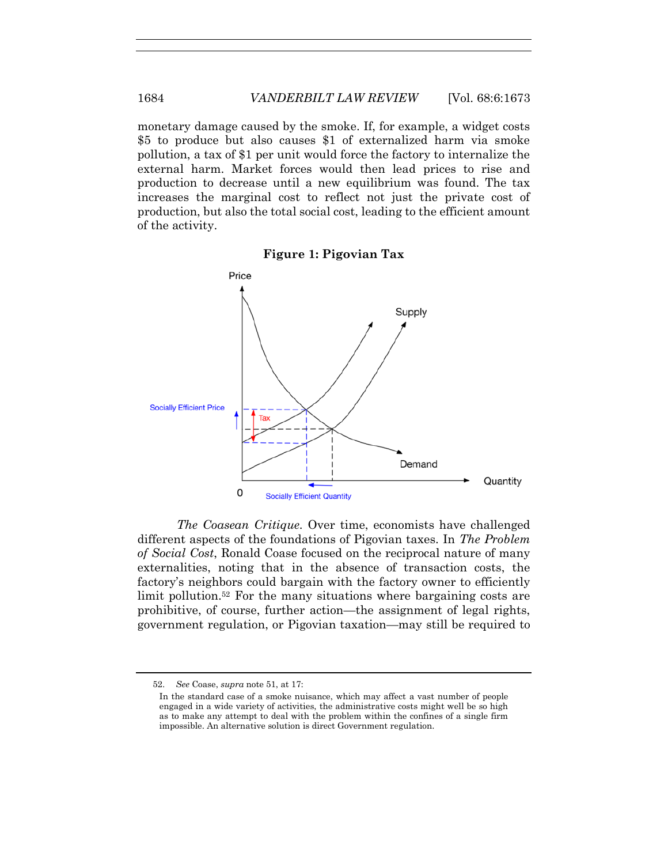monetary damage caused by the smoke. If, for example, a widget costs \$5 to produce but also causes \$1 of externalized harm via smoke pollution, a tax of \$1 per unit would force the factory to internalize the external harm. Market forces would then lead prices to rise and production to decrease until a new equilibrium was found. The tax increases the marginal cost to reflect not just the private cost of production, but also the total social cost, leading to the efficient amount of the activity.



**Figure 1: Pigovian Tax** 

*The Coasean Critique.* Over time, economists have challenged different aspects of the foundations of Pigovian taxes. In *The Problem of Social Cost*, Ronald Coase focused on the reciprocal nature of many externalities, noting that in the absence of transaction costs, the factory's neighbors could bargain with the factory owner to efficiently limit pollution.<sup>52</sup> For the many situations where bargaining costs are prohibitive, of course, further action—the assignment of legal rights, government regulation, or Pigovian taxation—may still be required to

<sup>52.</sup> *See* Coase, *supra* note 51, at 17:

In the standard case of a smoke nuisance, which may affect a vast number of people engaged in a wide variety of activities, the administrative costs might well be so high as to make any attempt to deal with the problem within the confines of a single firm impossible. An alternative solution is direct Government regulation.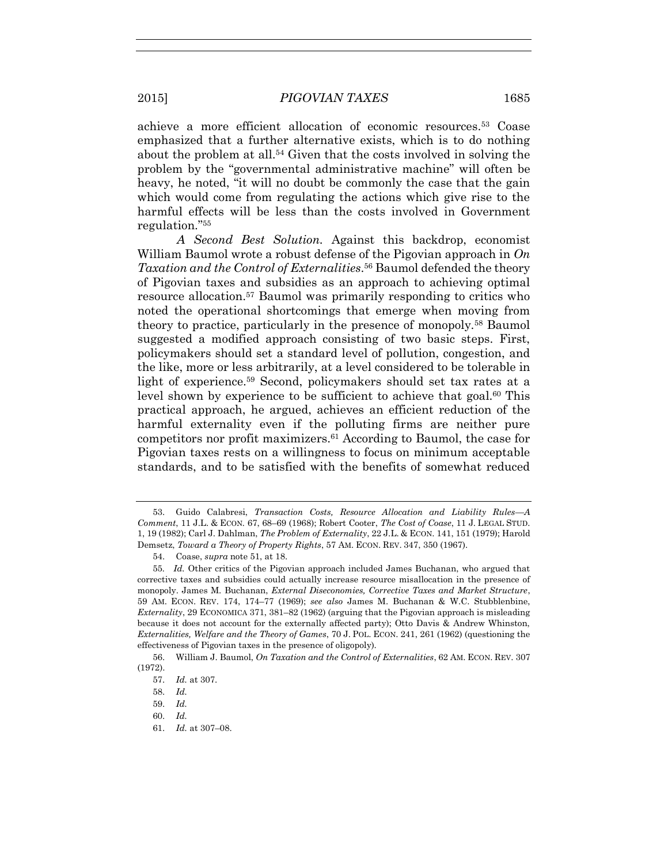achieve a more efficient allocation of economic resources.53 Coase emphasized that a further alternative exists, which is to do nothing about the problem at all.54 Given that the costs involved in solving the problem by the "governmental administrative machine" will often be heavy, he noted, "it will no doubt be commonly the case that the gain which would come from regulating the actions which give rise to the harmful effects will be less than the costs involved in Government regulation." 55

*A Second Best Solution.* Against this backdrop, economist William Baumol wrote a robust defense of the Pigovian approach in *On Taxation and the Control of Externalities*. <sup>56</sup> Baumol defended the theory of Pigovian taxes and subsidies as an approach to achieving optimal resource allocation.57 Baumol was primarily responding to critics who noted the operational shortcomings that emerge when moving from theory to practice, particularly in the presence of monopoly.58 Baumol suggested a modified approach consisting of two basic steps. First, policymakers should set a standard level of pollution, congestion, and the like, more or less arbitrarily, at a level considered to be tolerable in light of experience.59 Second, policymakers should set tax rates at a level shown by experience to be sufficient to achieve that goal.<sup>60</sup> This practical approach, he argued, achieves an efficient reduction of the harmful externality even if the polluting firms are neither pure competitors nor profit maximizers.61 According to Baumol, the case for Pigovian taxes rests on a willingness to focus on minimum acceptable standards, and to be satisfied with the benefits of somewhat reduced

61. *Id.* at 307–08.

<sup>53.</sup> Guido Calabresi, *Transaction Costs, Resource Allocation and Liability Rules—A Comment*, 11 J.L. & ECON*.* 67, 68–69 (1968); Robert Cooter, *The Cost of Coase*, 11 J. LEGAL STUD. 1, 19 (1982); Carl J. Dahlman, *The Problem of Externality*, 22 J.L. & ECON. 141, 151 (1979); Harold Demsetz, *Toward a Theory of Property Rights*, 57 AM. ECON. REV. 347, 350 (1967).

<sup>54.</sup> Coase, *supra* note 51, at 18.

<sup>55</sup>*. Id.* Other critics of the Pigovian approach included James Buchanan, who argued that corrective taxes and subsidies could actually increase resource misallocation in the presence of monopoly. James M. Buchanan, *External Diseconomies, Corrective Taxes and Market Structure*, 59 AM. ECON. REV. 174, 174–77 (1969); *see also* James M. Buchanan & W.C. Stubblenbine, *Externality*, 29 ECONOMICA 371, 381–82 (1962) (arguing that the Pigovian approach is misleading because it does not account for the externally affected party); Otto Davis & Andrew Whinston, *Externalities, Welfare and the Theory of Games*, 70 J. POL. ECON. 241, 261 (1962) (questioning the effectiveness of Pigovian taxes in the presence of oligopoly).

<sup>56.</sup> William J. Baumol, *On Taxation and the Control of Externalities*, 62 AM. ECON. REV. 307 (1972).

<sup>57.</sup> *Id.* at 307.

<sup>58.</sup> *Id.*

<sup>59.</sup> *Id.*

<sup>60.</sup> *Id.*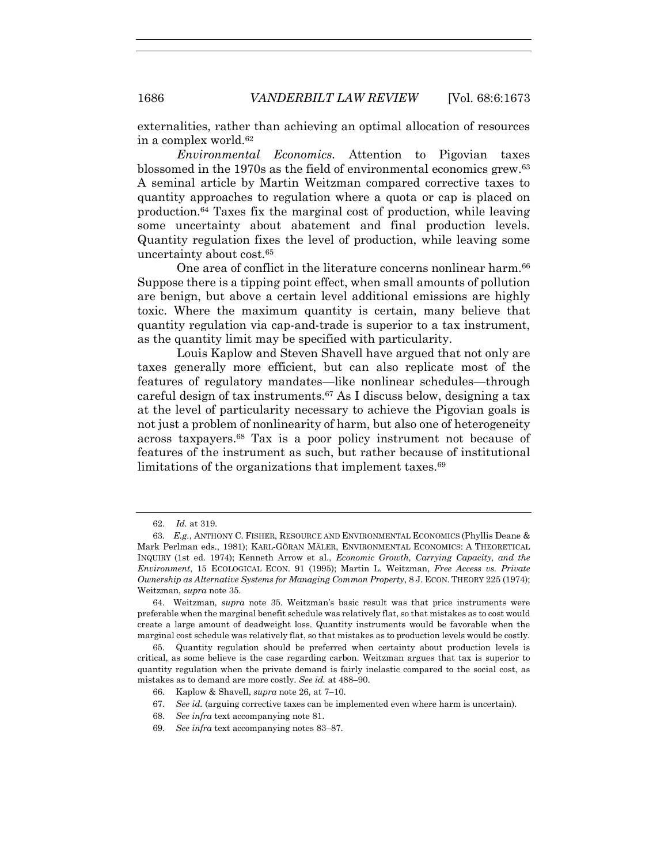externalities, rather than achieving an optimal allocation of resources in a complex world.<sup>62</sup>

*Environmental Economics.* Attention to Pigovian taxes blossomed in the 1970s as the field of environmental economics grew.<sup>63</sup> A seminal article by Martin Weitzman compared corrective taxes to quantity approaches to regulation where a quota or cap is placed on production.64 Taxes fix the marginal cost of production, while leaving some uncertainty about abatement and final production levels. Quantity regulation fixes the level of production, while leaving some uncertainty about cost.<sup>65</sup>

One area of conflict in the literature concerns nonlinear harm.<sup>66</sup> Suppose there is a tipping point effect, when small amounts of pollution are benign, but above a certain level additional emissions are highly toxic. Where the maximum quantity is certain, many believe that quantity regulation via cap-and-trade is superior to a tax instrument, as the quantity limit may be specified with particularity.

Louis Kaplow and Steven Shavell have argued that not only are taxes generally more efficient, but can also replicate most of the features of regulatory mandates—like nonlinear schedules—through careful design of tax instruments.67 As I discuss below, designing a tax at the level of particularity necessary to achieve the Pigovian goals is not just a problem of nonlinearity of harm, but also one of heterogeneity across taxpayers.68 Tax is a poor policy instrument not because of features of the instrument as such, but rather because of institutional limitations of the organizations that implement taxes.<sup>69</sup>

64. Weitzman, *supra* note 35. Weitzman's basic result was that price instruments were preferable when the marginal benefit schedule was relatively flat, so that mistakes as to cost would create a large amount of deadweight loss. Quantity instruments would be favorable when the marginal cost schedule was relatively flat, so that mistakes as to production levels would be costly.

65. Quantity regulation should be preferred when certainty about production levels is critical, as some believe is the case regarding carbon. Weitzman argues that tax is superior to quantity regulation when the private demand is fairly inelastic compared to the social cost, as mistakes as to demand are more costly. *See id.* at 488–90.

<sup>62.</sup> *Id.* at 319.

<sup>63</sup>*. E.g.*, ANTHONY C. FISHER, RESOURCE AND ENVIRONMENTAL ECONOMICS (Phyllis Deane & Mark Perlman eds., 1981); KARL-GÖRAN MÄLER, ENVIRONMENTAL ECONOMICS: A THEORETICAL INQUIRY (1st ed. 1974); Kenneth Arrow et al., *Economic Growth, Carrying Capacity, and the Environment*, 15 ECOLOGICAL ECON. 91 (1995); Martin L. Weitzman, *Free Access vs. Private Ownership as Alternative Systems for Managing Common Property*, 8 J. ECON. THEORY 225 (1974); Weitzman, *supra* note 35.

<sup>66.</sup> Kaplow & Shavell, *supra* note 26, at 7–10.

<sup>67.</sup> *See id.* (arguing corrective taxes can be implemented even where harm is uncertain).

<sup>68.</sup> *See infra* text accompanying note 81.

<sup>69.</sup> *See infra* text accompanying notes 83–87.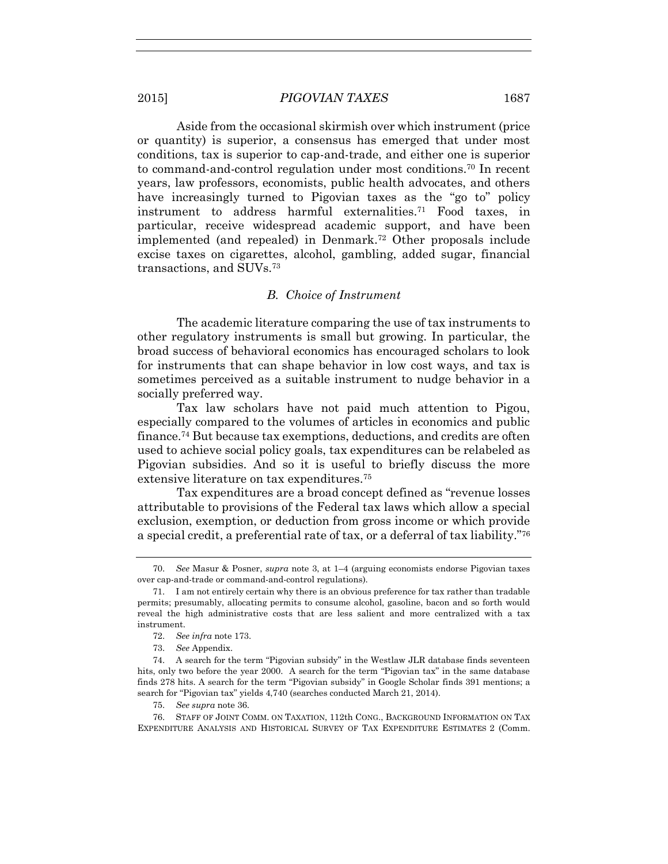Aside from the occasional skirmish over which instrument (price or quantity) is superior, a consensus has emerged that under most conditions, tax is superior to cap-and-trade, and either one is superior to command-and-control regulation under most conditions.70 In recent years, law professors, economists, public health advocates, and others have increasingly turned to Pigovian taxes as the "go to" policy instrument to address harmful externalities.71 Food taxes, in particular, receive widespread academic support, and have been implemented (and repealed) in Denmark.72 Other proposals include excise taxes on cigarettes, alcohol, gambling, added sugar, financial transactions, and SUVs.<sup>73</sup>

#### *B. Choice of Instrument*

The academic literature comparing the use of tax instruments to other regulatory instruments is small but growing. In particular, the broad success of behavioral economics has encouraged scholars to look for instruments that can shape behavior in low cost ways, and tax is sometimes perceived as a suitable instrument to nudge behavior in a socially preferred way.

Tax law scholars have not paid much attention to Pigou, especially compared to the volumes of articles in economics and public finance.74 But because tax exemptions, deductions, and credits are often used to achieve social policy goals, tax expenditures can be relabeled as Pigovian subsidies. And so it is useful to briefly discuss the more extensive literature on tax expenditures.<sup>75</sup>

Tax expenditures are a broad concept defined as "revenue losses attributable to provisions of the Federal tax laws which allow a special exclusion, exemption, or deduction from gross income or which provide a special credit, a preferential rate of tax, or a deferral of tax liability." 76

75. *See supra* note 36.

<sup>70.</sup> *See* Masur & Posner, *supra* note 3, at 1–4 (arguing economists endorse Pigovian taxes over cap-and-trade or command-and-control regulations).

<sup>71.</sup> I am not entirely certain why there is an obvious preference for tax rather than tradable permits; presumably, allocating permits to consume alcohol, gasoline, bacon and so forth would reveal the high administrative costs that are less salient and more centralized with a tax instrument.

<sup>72.</sup> *See infra* note 173.

<sup>73.</sup> *See* Appendix.

<sup>74.</sup> A search for the term "Pigovian subsidy" in the Westlaw JLR database finds seventeen hits, only two before the year 2000. A search for the term "Pigovian tax" in the same database finds 278 hits. A search for the term "Pigovian subsidy" in Google Scholar finds 391 mentions; a search for "Pigovian tax" yields 4,740 (searches conducted March 21, 2014).

<sup>76.</sup> STAFF OF JOINT COMM. ON TAXATION, 112th CONG., BACKGROUND INFORMATION ON TAX EXPENDITURE ANALYSIS AND HISTORICAL SURVEY OF TAX EXPENDITURE ESTIMATES 2 (Comm.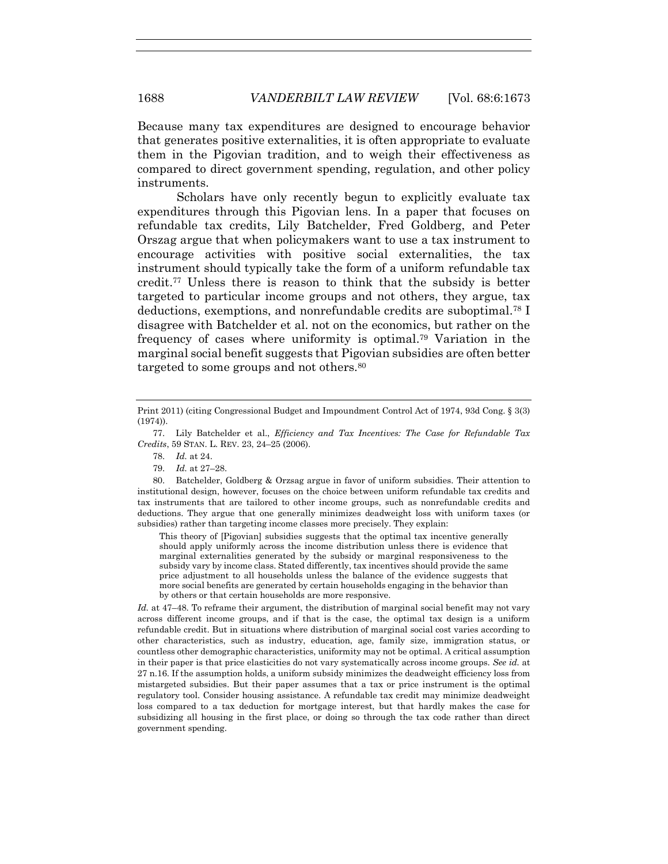Because many tax expenditures are designed to encourage behavior that generates positive externalities, it is often appropriate to evaluate them in the Pigovian tradition, and to weigh their effectiveness as compared to direct government spending, regulation, and other policy instruments.

Scholars have only recently begun to explicitly evaluate tax expenditures through this Pigovian lens. In a paper that focuses on refundable tax credits, Lily Batchelder, Fred Goldberg, and Peter Orszag argue that when policymakers want to use a tax instrument to encourage activities with positive social externalities, the tax instrument should typically take the form of a uniform refundable tax credit.77 Unless there is reason to think that the subsidy is better targeted to particular income groups and not others, they argue, tax deductions, exemptions, and nonrefundable credits are suboptimal.<sup>78</sup> I disagree with Batchelder et al. not on the economics, but rather on the frequency of cases where uniformity is optimal.79 Variation in the marginal social benefit suggests that Pigovian subsidies are often better targeted to some groups and not others.<sup>80</sup>

77. Lily Batchelder et al., *Efficiency and Tax Incentives: The Case for Refundable Tax Credits*, 59 STAN. L. REV. 23, 24–25 (2006).

- 78. *Id.* at 24.
- 79. *Id.* at 27–28.

80. Batchelder, Goldberg & Orzsag argue in favor of uniform subsidies. Their attention to institutional design, however, focuses on the choice between uniform refundable tax credits and tax instruments that are tailored to other income groups, such as nonrefundable credits and deductions. They argue that one generally minimizes deadweight loss with uniform taxes (or subsidies) rather than targeting income classes more precisely. They explain:

This theory of [Pigovian] subsidies suggests that the optimal tax incentive generally should apply uniformly across the income distribution unless there is evidence that marginal externalities generated by the subsidy or marginal responsiveness to the subsidy vary by income class. Stated differently, tax incentives should provide the same price adjustment to all households unless the balance of the evidence suggests that more social benefits are generated by certain households engaging in the behavior than by others or that certain households are more responsive.

*Id.* at 47–48. To reframe their argument, the distribution of marginal social benefit may not vary across different income groups, and if that is the case, the optimal tax design is a uniform refundable credit. But in situations where distribution of marginal social cost varies according to other characteristics, such as industry, education, age, family size, immigration status, or countless other demographic characteristics, uniformity may not be optimal. A critical assumption in their paper is that price elasticities do not vary systematically across income groups. *See id.* at 27 n.16. If the assumption holds, a uniform subsidy minimizes the deadweight efficiency loss from mistargeted subsidies. But their paper assumes that a tax or price instrument is the optimal regulatory tool. Consider housing assistance. A refundable tax credit may minimize deadweight loss compared to a tax deduction for mortgage interest, but that hardly makes the case for subsidizing all housing in the first place, or doing so through the tax code rather than direct government spending.

Print 2011) (citing Congressional Budget and Impoundment Control Act of 1974, 93d Cong. § 3(3) (1974)).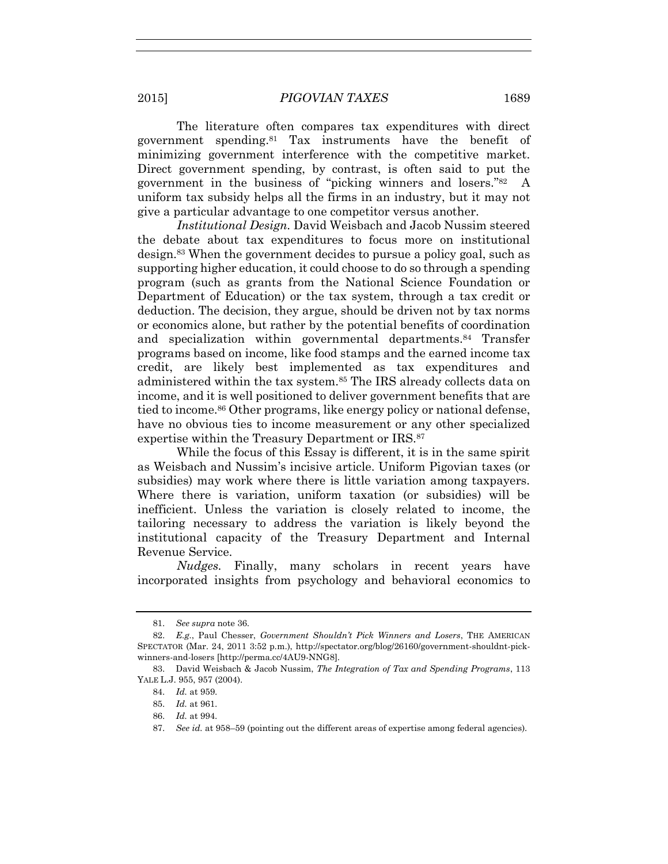The literature often compares tax expenditures with direct government spending.81 Tax instruments have the benefit of minimizing government interference with the competitive market. Direct government spending, by contrast, is often said to put the government in the business of "picking winners and losers." 82 A uniform tax subsidy helps all the firms in an industry, but it may not give a particular advantage to one competitor versus another.

*Institutional Design.* David Weisbach and Jacob Nussim steered the debate about tax expenditures to focus more on institutional design.83 When the government decides to pursue a policy goal, such as supporting higher education, it could choose to do so through a spending program (such as grants from the National Science Foundation or Department of Education) or the tax system, through a tax credit or deduction. The decision, they argue, should be driven not by tax norms or economics alone, but rather by the potential benefits of coordination and specialization within governmental departments.84 Transfer programs based on income, like food stamps and the earned income tax credit, are likely best implemented as tax expenditures and administered within the tax system.85 The IRS already collects data on income, and it is well positioned to deliver government benefits that are tied to income.86 Other programs, like energy policy or national defense, have no obvious ties to income measurement or any other specialized expertise within the Treasury Department or IRS.<sup>87</sup>

While the focus of this Essay is different, it is in the same spirit as Weisbach and Nussim's incisive article. Uniform Pigovian taxes (or subsidies) may work where there is little variation among taxpayers. Where there is variation, uniform taxation (or subsidies) will be inefficient. Unless the variation is closely related to income, the tailoring necessary to address the variation is likely beyond the institutional capacity of the Treasury Department and Internal Revenue Service.

*Nudges.* Finally, many scholars in recent years have incorporated insights from psychology and behavioral economics to

<sup>81.</sup> *See supra* note 36.

<sup>82.</sup> *E.g.*, Paul Chesser, *Government Shouldn't Pick Winners and Losers*, THE AMERICAN SPECTATOR (Mar. 24, 2011 3:52 p.m.), http://spectator.org/blog/26160/government-shouldnt-pickwinners-and-losers [http://perma.cc/4AU9-NNG8].

<sup>83.</sup> David Weisbach & Jacob Nussim, *The Integration of Tax and Spending Programs*, 113 YALE L.J. 955, 957 (2004).

<sup>84.</sup> *Id.* at 959.

<sup>85.</sup> *Id.* at 961.

<sup>86.</sup> *Id.* at 994.

<sup>87.</sup> *See id.* at 958–59 (pointing out the different areas of expertise among federal agencies).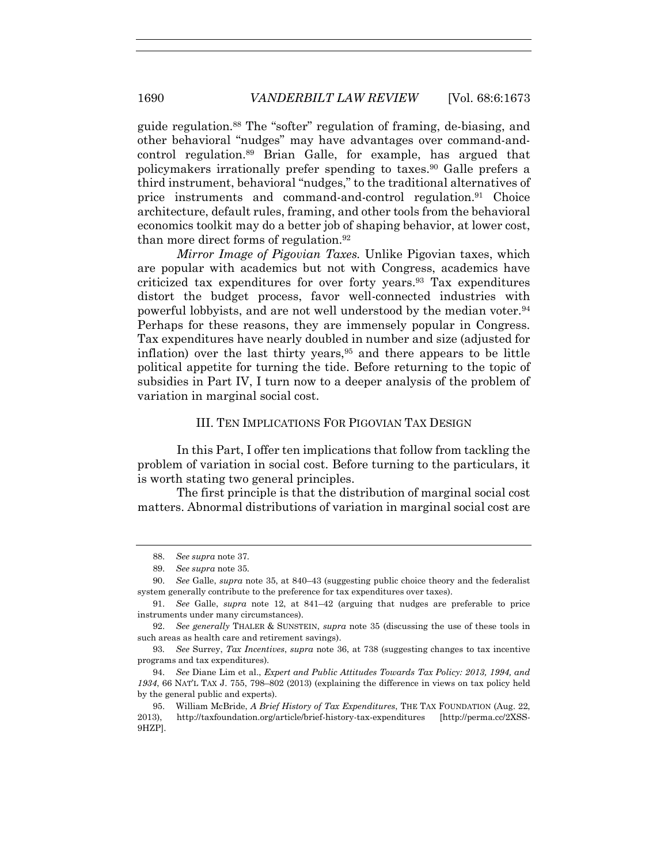guide regulation.88 The "softer" regulation of framing, de-biasing, and other behavioral "nudges" may have advantages over command-andcontrol regulation.<sup>89</sup> Brian Galle, for example, has argued that policymakers irrationally prefer spending to taxes.<sup>90</sup> Galle prefers a third instrument, behavioral "nudges," to the traditional alternatives of price instruments and command-and-control regulation.<sup>91</sup> Choice architecture, default rules, framing, and other tools from the behavioral economics toolkit may do a better job of shaping behavior, at lower cost, than more direct forms of regulation.<sup>92</sup>

*Mirror Image of Pigovian Taxes.* Unlike Pigovian taxes, which are popular with academics but not with Congress, academics have criticized tax expenditures for over forty years.93 Tax expenditures distort the budget process, favor well-connected industries with powerful lobbyists, and are not well understood by the median voter.<sup>94</sup> Perhaps for these reasons, they are immensely popular in Congress. Tax expenditures have nearly doubled in number and size (adjusted for inflation) over the last thirty years,95 and there appears to be little political appetite for turning the tide. Before returning to the topic of subsidies in Part IV, I turn now to a deeper analysis of the problem of variation in marginal social cost.

#### III. TEN IMPLICATIONS FOR PIGOVIAN TAX DESIGN

In this Part, I offer ten implications that follow from tackling the problem of variation in social cost. Before turning to the particulars, it is worth stating two general principles.

The first principle is that the distribution of marginal social cost matters. Abnormal distributions of variation in marginal social cost are

<sup>88.</sup> *See supra* note 37.

<sup>89.</sup> *See supra* note 35.

<sup>90.</sup> *See* Galle, *supra* note 35, at 840–43 (suggesting public choice theory and the federalist system generally contribute to the preference for tax expenditures over taxes).

<sup>91.</sup> *See* Galle, *supra* note 12, at 841–42 (arguing that nudges are preferable to price instruments under many circumstances).

<sup>92.</sup> *See generally* THALER & SUNSTEIN, *supra* note 35 (discussing the use of these tools in such areas as health care and retirement savings).

<sup>93</sup>*. See* Surrey, *Tax Incentives*, *supra* note 36, at 738 (suggesting changes to tax incentive programs and tax expenditures).

<sup>94.</sup> *See* Diane Lim et al., *Expert and Public Attitudes Towards Tax Policy: 2013, 1994, and 1934*, 66 NAT'L TAX J. 755, 798–802 (2013) (explaining the difference in views on tax policy held by the general public and experts).

<sup>95.</sup> William McBride, *A Brief History of Tax Expenditures*, THE TAX FOUNDATION (Aug. 22, 2013), http://taxfoundation.org/article/brief-history-tax-expenditures [http://perma.cc/2XSS-9HZP].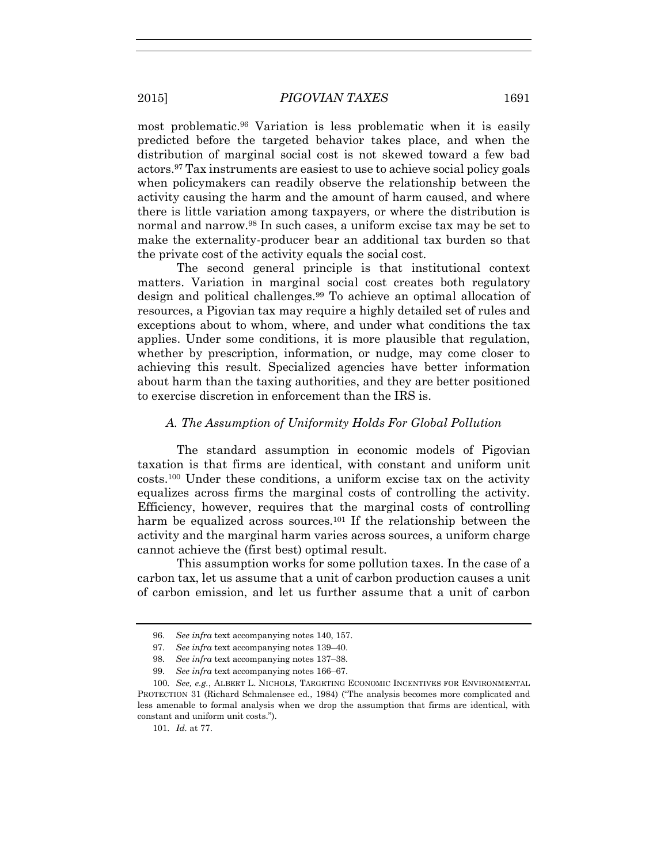most problematic.96 Variation is less problematic when it is easily predicted before the targeted behavior takes place, and when the distribution of marginal social cost is not skewed toward a few bad actors.97 Tax instruments are easiest to use to achieve social policy goals when policymakers can readily observe the relationship between the activity causing the harm and the amount of harm caused, and where there is little variation among taxpayers, or where the distribution is normal and narrow.98 In such cases, a uniform excise tax may be set to make the externality-producer bear an additional tax burden so that the private cost of the activity equals the social cost.

The second general principle is that institutional context matters. Variation in marginal social cost creates both regulatory design and political challenges.99 To achieve an optimal allocation of resources, a Pigovian tax may require a highly detailed set of rules and exceptions about to whom, where, and under what conditions the tax applies. Under some conditions, it is more plausible that regulation, whether by prescription, information, or nudge, may come closer to achieving this result. Specialized agencies have better information about harm than the taxing authorities, and they are better positioned to exercise discretion in enforcement than the IRS is.

#### *A. The Assumption of Uniformity Holds For Global Pollution*

The standard assumption in economic models of Pigovian taxation is that firms are identical, with constant and uniform unit costs.<sup>100</sup> Under these conditions, a uniform excise tax on the activity equalizes across firms the marginal costs of controlling the activity. Efficiency, however, requires that the marginal costs of controlling harm be equalized across sources.<sup>101</sup> If the relationship between the activity and the marginal harm varies across sources, a uniform charge cannot achieve the (first best) optimal result.

This assumption works for some pollution taxes. In the case of a carbon tax, let us assume that a unit of carbon production causes a unit of carbon emission, and let us further assume that a unit of carbon

<sup>96.</sup> *See infra* text accompanying notes 140, 157.

<sup>97.</sup> *See infra* text accompanying notes 139–40.

<sup>98.</sup> *See infra* text accompanying notes 137–38.

<sup>99.</sup> *See infra* text accompanying notes 166–67.

<sup>100.</sup> *See, e.g.*, ALBERT L. NICHOLS, TARGETING ECONOMIC INCENTIVES FOR ENVIRONMENTAL PROTECTION 31 (Richard Schmalensee ed., 1984) ("The analysis becomes more complicated and less amenable to formal analysis when we drop the assumption that firms are identical, with constant and uniform unit costs.").

<sup>101.</sup> *Id.* at 77.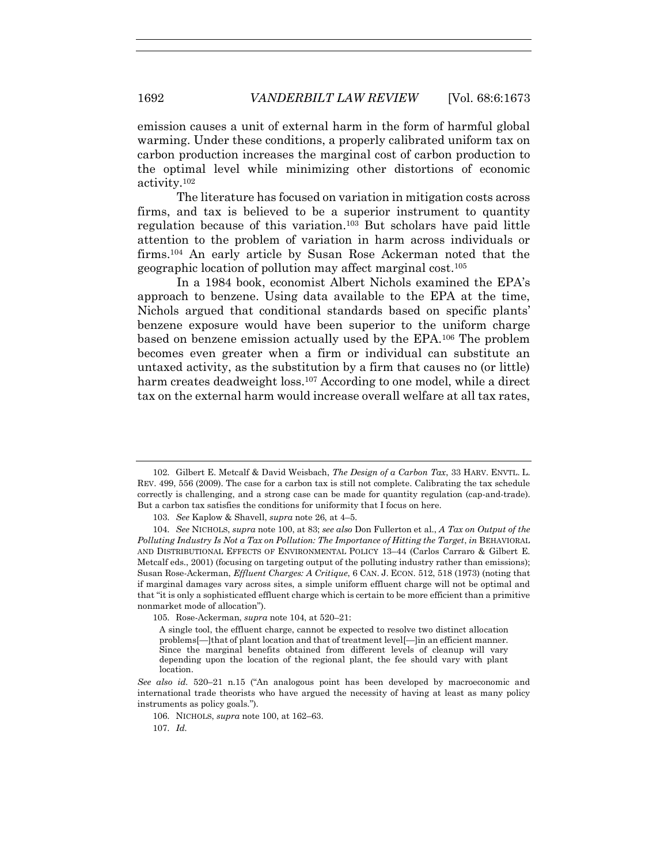emission causes a unit of external harm in the form of harmful global warming. Under these conditions, a properly calibrated uniform tax on carbon production increases the marginal cost of carbon production to the optimal level while minimizing other distortions of economic activity.<sup>102</sup>

The literature has focused on variation in mitigation costs across firms, and tax is believed to be a superior instrument to quantity regulation because of this variation.103 But scholars have paid little attention to the problem of variation in harm across individuals or firms.104 An early article by Susan Rose Ackerman noted that the geographic location of pollution may affect marginal cost.<sup>105</sup>

In a 1984 book, economist Albert Nichols examined the EPA's approach to benzene. Using data available to the EPA at the time, Nichols argued that conditional standards based on specific plants' benzene exposure would have been superior to the uniform charge based on benzene emission actually used by the EPA.106 The problem becomes even greater when a firm or individual can substitute an untaxed activity, as the substitution by a firm that causes no (or little) harm creates deadweight loss.<sup>107</sup> According to one model, while a direct tax on the external harm would increase overall welfare at all tax rates,

105. Rose-Ackerman, *supra* note 104, at 520–21:

<sup>102.</sup> Gilbert E. Metcalf & David Weisbach, *The Design of a Carbon Tax*, 33 HARV. ENVTL. L. REV. 499, 556 (2009). The case for a carbon tax is still not complete. Calibrating the tax schedule correctly is challenging, and a strong case can be made for quantity regulation (cap-and-trade). But a carbon tax satisfies the conditions for uniformity that I focus on here.

<sup>103.</sup> *See* Kaplow & Shavell, *supra* note 26, at 4–5.

<sup>104.</sup> *See* NICHOLS, *supra* note 100, at 83; *see also* Don Fullerton et al., *A Tax on Output of the Polluting Industry Is Not a Tax on Pollution: The Importance of Hitting the Target*, *in* BEHAVIORAL AND DISTRIBUTIONAL EFFECTS OF ENVIRONMENTAL POLICY 13–44 (Carlos Carraro & Gilbert E. Metcalf eds., 2001) (focusing on targeting output of the polluting industry rather than emissions); Susan Rose-Ackerman, *Effluent Charges: A Critique*, 6 CAN. J. ECON. 512, 518 (1973) (noting that if marginal damages vary across sites, a simple uniform effluent charge will not be optimal and that "it is only a sophisticated effluent charge which is certain to be more efficient than a primitive nonmarket mode of allocation").

A single tool, the effluent charge, cannot be expected to resolve two distinct allocation problems[—]that of plant location and that of treatment level[—]in an efficient manner. Since the marginal benefits obtained from different levels of cleanup will vary depending upon the location of the regional plant, the fee should vary with plant location.

*See also id.* 520–21 n.15 ("An analogous point has been developed by macroeconomic and international trade theorists who have argued the necessity of having at least as many policy instruments as policy goals.").

<sup>106.</sup> NICHOLS, *supra* note 100, at 162–63.

<sup>107.</sup> *Id.*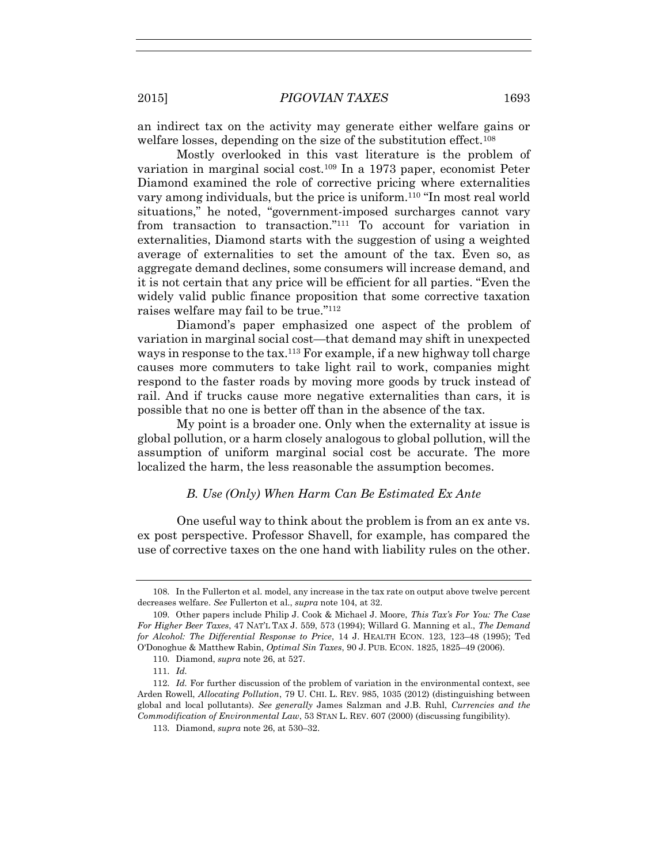an indirect tax on the activity may generate either welfare gains or welfare losses, depending on the size of the substitution effect.<sup>108</sup>

Mostly overlooked in this vast literature is the problem of variation in marginal social cost.109 In a 1973 paper, economist Peter Diamond examined the role of corrective pricing where externalities vary among individuals, but the price is uniform.<sup>110</sup> "In most real world situations," he noted, "government-imposed surcharges cannot vary from transaction to transaction." <sup>111</sup> To account for variation in externalities, Diamond starts with the suggestion of using a weighted average of externalities to set the amount of the tax. Even so, as aggregate demand declines, some consumers will increase demand, and it is not certain that any price will be efficient for all parties. "Even the widely valid public finance proposition that some corrective taxation raises welfare may fail to be true." 112

Diamond's paper emphasized one aspect of the problem of variation in marginal social cost—that demand may shift in unexpected ways in response to the tax.<sup>113</sup> For example, if a new highway toll charge causes more commuters to take light rail to work, companies might respond to the faster roads by moving more goods by truck instead of rail. And if trucks cause more negative externalities than cars, it is possible that no one is better off than in the absence of the tax.

My point is a broader one. Only when the externality at issue is global pollution, or a harm closely analogous to global pollution, will the assumption of uniform marginal social cost be accurate. The more localized the harm, the less reasonable the assumption becomes.

#### *B. Use (Only) When Harm Can Be Estimated Ex Ante*

One useful way to think about the problem is from an ex ante vs. ex post perspective. Professor Shavell, for example, has compared the use of corrective taxes on the one hand with liability rules on the other.

<sup>108.</sup> In the Fullerton et al. model, any increase in the tax rate on output above twelve percent decreases welfare. *See* Fullerton et al., *supra* note 104, at 32.

<sup>109.</sup> Other papers include Philip J. Cook & Michael J. Moore, *This Tax's For You: The Case For Higher Beer Taxes*, 47 NAT'L TAX J. 559, 573 (1994); Willard G. Manning et al., *The Demand for Alcohol: The Differential Response to Price*, 14 J. HEALTH ECON. 123, 123–48 (1995); Ted O'Donoghue & Matthew Rabin, *Optimal Sin Taxes*, 90 J. PUB. ECON. 1825, 1825–49 (2006).

<sup>110.</sup> Diamond, *supra* note 26, at 527.

<sup>111.</sup> *Id.*

<sup>112.</sup> *Id.* For further discussion of the problem of variation in the environmental context, see Arden Rowell, *Allocating Pollution*, 79 U. CHI. L. REV. 985, 1035 (2012) (distinguishing between global and local pollutants). *See generally* James Salzman and J.B. Ruhl, *Currencies and the Commodification of Environmental Law*, 53 STAN L. REV. 607 (2000) (discussing fungibility).

<sup>113.</sup> Diamond, *supra* note 26, at 530–32.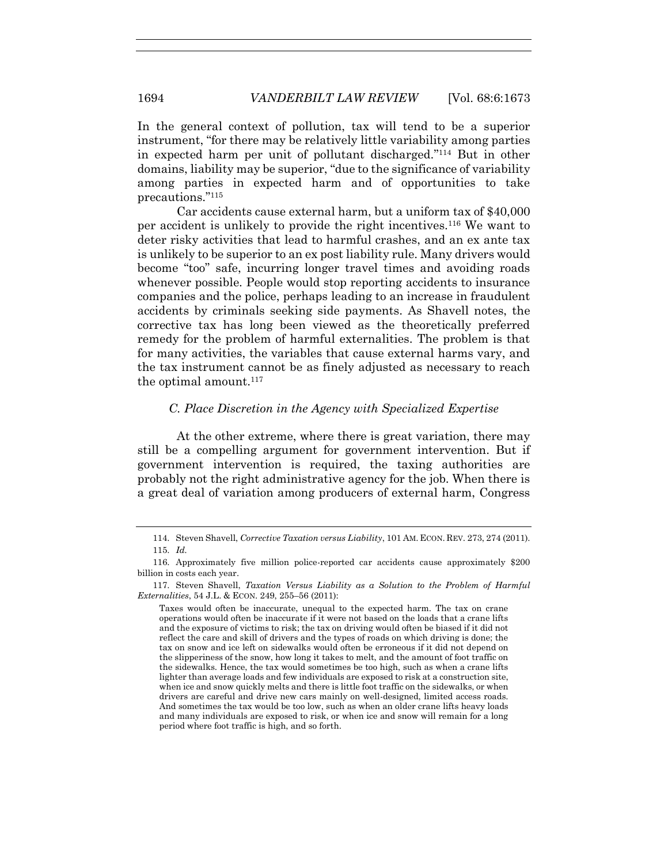In the general context of pollution, tax will tend to be a superior instrument, "for there may be relatively little variability among parties in expected harm per unit of pollutant discharged." <sup>114</sup> But in other domains, liability may be superior, "due to the significance of variability among parties in expected harm and of opportunities to take precautions." 115

Car accidents cause external harm, but a uniform tax of \$40,000 per accident is unlikely to provide the right incentives.116 We want to deter risky activities that lead to harmful crashes, and an ex ante tax is unlikely to be superior to an ex post liability rule. Many drivers would become "too" safe, incurring longer travel times and avoiding roads whenever possible. People would stop reporting accidents to insurance companies and the police, perhaps leading to an increase in fraudulent accidents by criminals seeking side payments. As Shavell notes, the corrective tax has long been viewed as the theoretically preferred remedy for the problem of harmful externalities. The problem is that for many activities, the variables that cause external harms vary, and the tax instrument cannot be as finely adjusted as necessary to reach the optimal amount.<sup>117</sup>

#### *C. Place Discretion in the Agency with Specialized Expertise*

At the other extreme, where there is great variation, there may still be a compelling argument for government intervention. But if government intervention is required, the taxing authorities are probably not the right administrative agency for the job. When there is a great deal of variation among producers of external harm, Congress

<sup>114.</sup> Steven Shavell, *Corrective Taxation versus Liability*, 101 AM. ECON. REV. 273, 274 (2011). 115. *Id.*

<sup>116.</sup> Approximately five million police-reported car accidents cause approximately \$200 billion in costs each year.

<sup>117.</sup> Steven Shavell, *Taxation Versus Liability as a Solution to the Problem of Harmful Externalities*, 54 J.L. & ECON. 249, 255–56 (2011):

Taxes would often be inaccurate, unequal to the expected harm. The tax on crane operations would often be inaccurate if it were not based on the loads that a crane lifts and the exposure of victims to risk; the tax on driving would often be biased if it did not reflect the care and skill of drivers and the types of roads on which driving is done; the tax on snow and ice left on sidewalks would often be erroneous if it did not depend on the slipperiness of the snow, how long it takes to melt, and the amount of foot traffic on the sidewalks. Hence, the tax would sometimes be too high, such as when a crane lifts lighter than average loads and few individuals are exposed to risk at a construction site, when ice and snow quickly melts and there is little foot traffic on the sidewalks, or when drivers are careful and drive new cars mainly on well-designed, limited access roads. And sometimes the tax would be too low, such as when an older crane lifts heavy loads and many individuals are exposed to risk, or when ice and snow will remain for a long period where foot traffic is high, and so forth.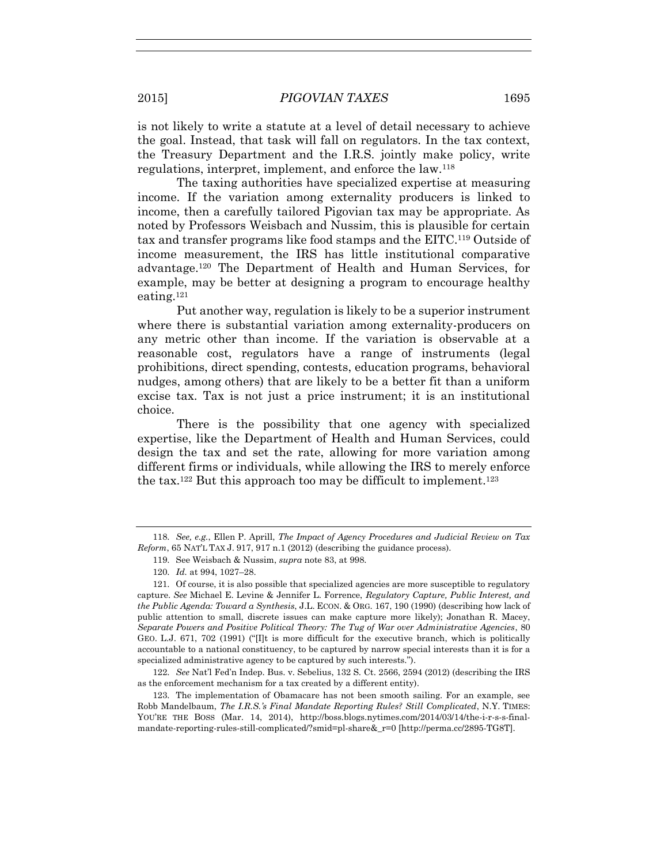is not likely to write a statute at a level of detail necessary to achieve the goal. Instead, that task will fall on regulators. In the tax context, the Treasury Department and the I.R.S. jointly make policy, write regulations, interpret, implement, and enforce the law.<sup>118</sup>

The taxing authorities have specialized expertise at measuring income. If the variation among externality producers is linked to income, then a carefully tailored Pigovian tax may be appropriate. As noted by Professors Weisbach and Nussim, this is plausible for certain tax and transfer programs like food stamps and the EITC.119 Outside of income measurement, the IRS has little institutional comparative advantage.120 The Department of Health and Human Services, for example, may be better at designing a program to encourage healthy eating.<sup>121</sup>

Put another way, regulation is likely to be a superior instrument where there is substantial variation among externality-producers on any metric other than income. If the variation is observable at a reasonable cost, regulators have a range of instruments (legal prohibitions, direct spending, contests, education programs, behavioral nudges, among others) that are likely to be a better fit than a uniform excise tax. Tax is not just a price instrument; it is an institutional choice.

There is the possibility that one agency with specialized expertise, like the Department of Health and Human Services, could design the tax and set the rate, allowing for more variation among different firms or individuals, while allowing the IRS to merely enforce the tax.<sup>122</sup> But this approach too may be difficult to implement.<sup>123</sup>

122. *See* Nat'l Fed'n Indep. Bus. v. Sebelius, 132 S. Ct. 2566, 2594 (2012) (describing the IRS as the enforcement mechanism for a tax created by a different entity).

123. The implementation of Obamacare has not been smooth sailing. For an example, see Robb Mandelbaum, *The I.R.S.'s Final Mandate Reporting Rules? Still Complicated*, N.Y. TIMES: YOU'RE THE BOSS (Mar. 14, 2014), http://boss.blogs.nytimes.com/2014/03/14/the-i-r-s-s-finalmandate-reporting-rules-still-complicated/?smid=pl-share&\_r=0 [http://perma.cc/2895-TG8T].

<sup>118.</sup> *See, e.g.*, Ellen P. Aprill, *The Impact of Agency Procedures and Judicial Review on Tax Reform*, 65 NAT'L TAX J. 917, 917 n.1 (2012) (describing the guidance process).

<sup>119.</sup> See Weisbach & Nussim, *supra* note 83, at 998.

<sup>120.</sup> *Id.* at 994, 1027–28.

<sup>121.</sup> Of course, it is also possible that specialized agencies are more susceptible to regulatory capture. *See* Michael E. Levine & Jennifer L. Forrence, *Regulatory Capture, Public Interest, and the Public Agenda: Toward a Synthesis*, J.L. ECON. & ORG. 167, 190 (1990) (describing how lack of public attention to small, discrete issues can make capture more likely); Jonathan R. Macey, *Separate Powers and Positive Political Theory: The Tug of War over Administrative Agencies*, 80 GEO. L.J. 671, 702 (1991) ("[I]t is more difficult for the executive branch, which is politically accountable to a national constituency, to be captured by narrow special interests than it is for a specialized administrative agency to be captured by such interests.").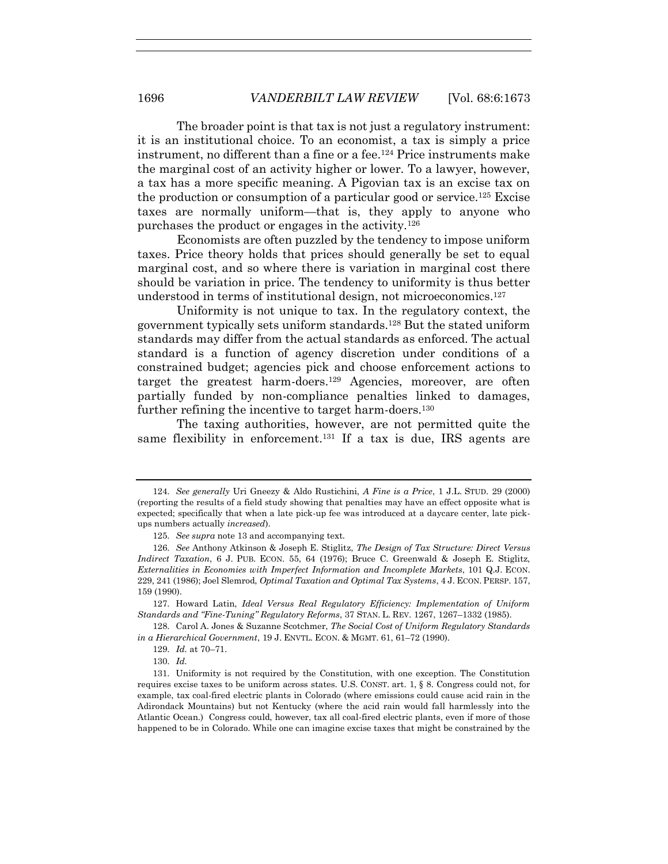The broader point is that tax is not just a regulatory instrument: it is an institutional choice. To an economist, a tax is simply a price instrument, no different than a fine or a fee.124 Price instruments make the marginal cost of an activity higher or lower. To a lawyer, however, a tax has a more specific meaning. A Pigovian tax is an excise tax on the production or consumption of a particular good or service.<sup>125</sup> Excise taxes are normally uniform—that is, they apply to anyone who purchases the product or engages in the activity.<sup>126</sup>

Economists are often puzzled by the tendency to impose uniform taxes. Price theory holds that prices should generally be set to equal marginal cost, and so where there is variation in marginal cost there should be variation in price. The tendency to uniformity is thus better understood in terms of institutional design, not microeconomics.<sup>127</sup>

Uniformity is not unique to tax. In the regulatory context, the government typically sets uniform standards.128 But the stated uniform standards may differ from the actual standards as enforced. The actual standard is a function of agency discretion under conditions of a constrained budget; agencies pick and choose enforcement actions to target the greatest harm-doers.129 Agencies, moreover, are often partially funded by non-compliance penalties linked to damages, further refining the incentive to target harm-doers.<sup>130</sup>

The taxing authorities, however, are not permitted quite the same flexibility in enforcement.131 If a tax is due, IRS agents are

127. Howard Latin, *Ideal Versus Real Regulatory Efficiency: Implementation of Uniform Standards and "Fine-Tuning" Regulatory Reforms*, 37 STAN. L. REV. 1267, 1267–1332 (1985).

128. Carol A. Jones & Suzanne Scotchmer, *The Social Cost of Uniform Regulatory Standards in a Hierarchical Government*, 19 J. ENVTL. ECON. & MGMT. 61, 61–72 (1990).

129. *Id.* at 70–71.

130. *Id.*

<sup>124.</sup> *See generally* Uri Gneezy & Aldo Rustichini, *A Fine is a Price*, 1 J.L. STUD. 29 (2000) (reporting the results of a field study showing that penalties may have an effect opposite what is expected; specifically that when a late pick-up fee was introduced at a daycare center, late pickups numbers actually *increased*).

<sup>125.</sup> *See supra* note 13 and accompanying text.

<sup>126.</sup> *See* Anthony Atkinson & Joseph E. Stiglitz, *The Design of Tax Structure: Direct Versus Indirect Taxation*, 6 J. PUB. ECON. 55, 64 (1976); Bruce C. Greenwald & Joseph E. Stiglitz, *Externalities in Economies with Imperfect Information and Incomplete Markets*, 101 Q.J. ECON. 229, 241 (1986); Joel Slemrod, *Optimal Taxation and Optimal Tax Systems*, 4 J. ECON. PERSP. 157, 159 (1990).

<sup>131.</sup> Uniformity is not required by the Constitution, with one exception. The Constitution requires excise taxes to be uniform across states. U.S. CONST. art. 1, § 8. Congress could not, for example, tax coal-fired electric plants in Colorado (where emissions could cause acid rain in the Adirondack Mountains) but not Kentucky (where the acid rain would fall harmlessly into the Atlantic Ocean.) Congress could, however, tax all coal-fired electric plants, even if more of those happened to be in Colorado. While one can imagine excise taxes that might be constrained by the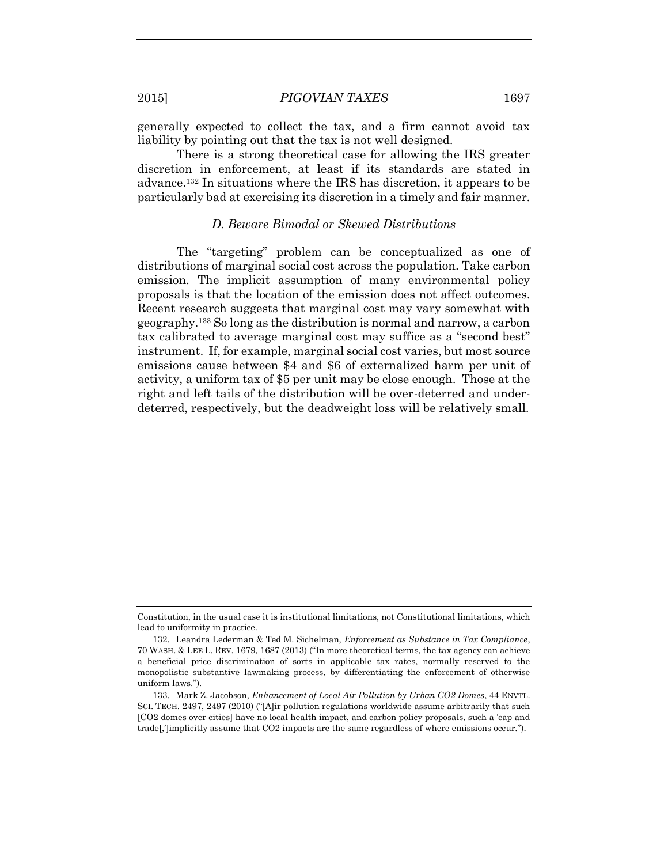generally expected to collect the tax, and a firm cannot avoid tax liability by pointing out that the tax is not well designed.

There is a strong theoretical case for allowing the IRS greater discretion in enforcement, at least if its standards are stated in advance.132 In situations where the IRS has discretion, it appears to be particularly bad at exercising its discretion in a timely and fair manner.

#### *D. Beware Bimodal or Skewed Distributions*

The "targeting" problem can be conceptualized as one of distributions of marginal social cost across the population. Take carbon emission. The implicit assumption of many environmental policy proposals is that the location of the emission does not affect outcomes. Recent research suggests that marginal cost may vary somewhat with geography.133 So long as the distribution is normal and narrow, a carbon tax calibrated to average marginal cost may suffice as a "second best" instrument. If, for example, marginal social cost varies, but most source emissions cause between \$4 and \$6 of externalized harm per unit of activity, a uniform tax of \$5 per unit may be close enough. Those at the right and left tails of the distribution will be over-deterred and underdeterred, respectively, but the deadweight loss will be relatively small.

Constitution, in the usual case it is institutional limitations, not Constitutional limitations, which lead to uniformity in practice.

<sup>132.</sup> Leandra Lederman & Ted M. Sichelman, *Enforcement as Substance in Tax Compliance*, 70 WASH. & LEE L. REV. 1679, 1687 (2013) ("In more theoretical terms, the tax agency can achieve a beneficial price discrimination of sorts in applicable tax rates, normally reserved to the monopolistic substantive lawmaking process, by differentiating the enforcement of otherwise uniform laws.").

<sup>133.</sup> Mark Z. Jacobson, *Enhancement of Local Air Pollution by Urban CO2 Domes*, 44 ENVTL. SCI. TECH. 2497, 2497 (2010) ("[A]ir pollution regulations worldwide assume arbitrarily that such [CO2 domes over cities] have no local health impact, and carbon policy proposals, such a 'cap and trade[,']implicitly assume that CO2 impacts are the same regardless of where emissions occur.").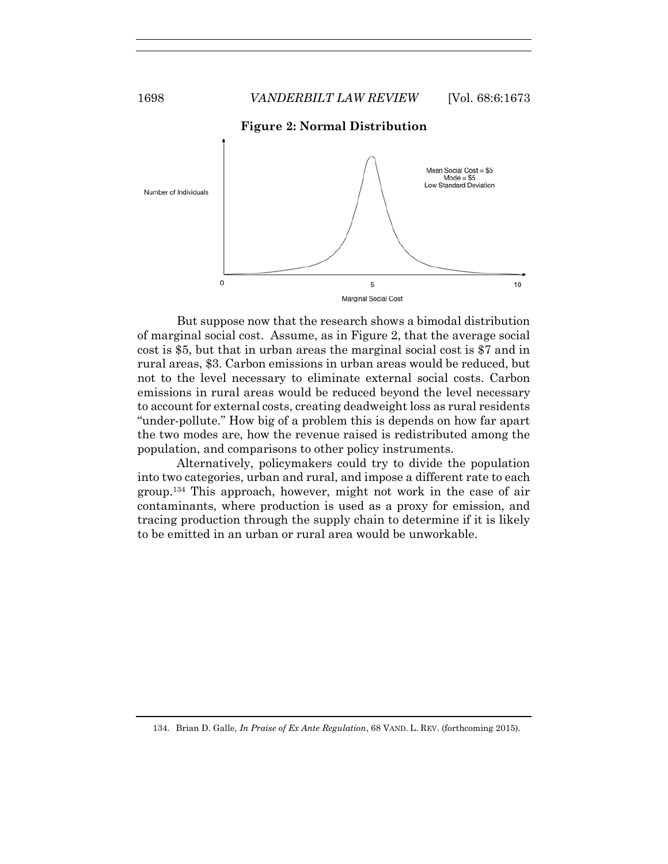

But suppose now that the research shows a bimodal distribution of marginal social cost. Assume, as in Figure 2, that the average social cost is \$5, but that in urban areas the marginal social cost is \$7 and in rural areas, \$3. Carbon emissions in urban areas would be reduced, but not to the level necessary to eliminate external social costs. Carbon emissions in rural areas would be reduced beyond the level necessary to account for external costs, creating deadweight loss as rural residents "under-pollute." How big of a problem this is depends on how far apart the two modes are, how the revenue raised is redistributed among the population, and comparisons to other policy instruments.

Alternatively, policymakers could try to divide the population into two categories, urban and rural, and impose a different rate to each group.134 This approach, however, might not work in the case of air contaminants, where production is used as a proxy for emission, and tracing production through the supply chain to determine if it is likely to be emitted in an urban or rural area would be unworkable.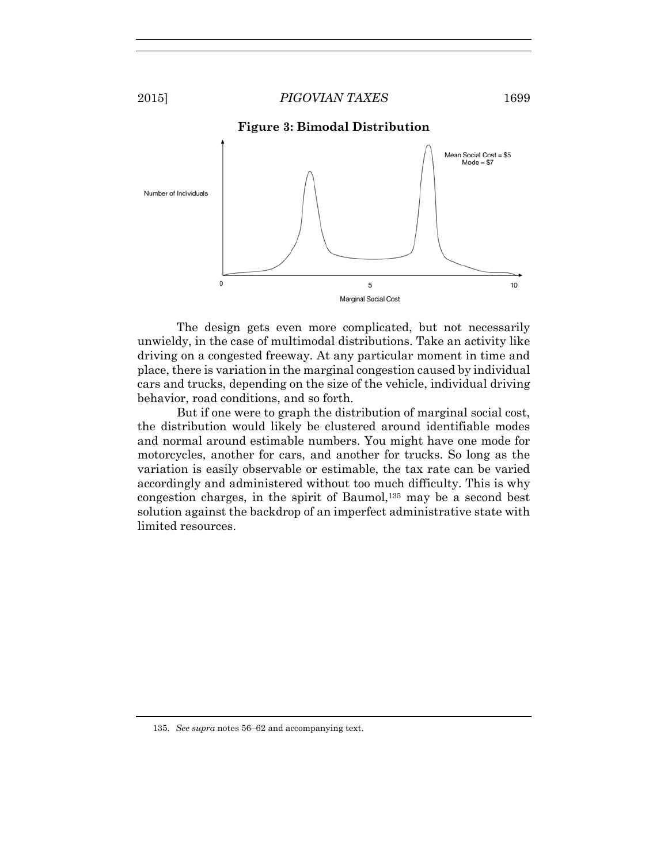



The design gets even more complicated, but not necessarily unwieldy, in the case of multimodal distributions. Take an activity like driving on a congested freeway. At any particular moment in time and place, there is variation in the marginal congestion caused by individual cars and trucks, depending on the size of the vehicle, individual driving behavior, road conditions, and so forth.

But if one were to graph the distribution of marginal social cost, the distribution would likely be clustered around identifiable modes and normal around estimable numbers. You might have one mode for motorcycles, another for cars, and another for trucks. So long as the variation is easily observable or estimable, the tax rate can be varied accordingly and administered without too much difficulty. This is why congestion charges, in the spirit of Baumol,135 may be a second best solution against the backdrop of an imperfect administrative state with limited resources.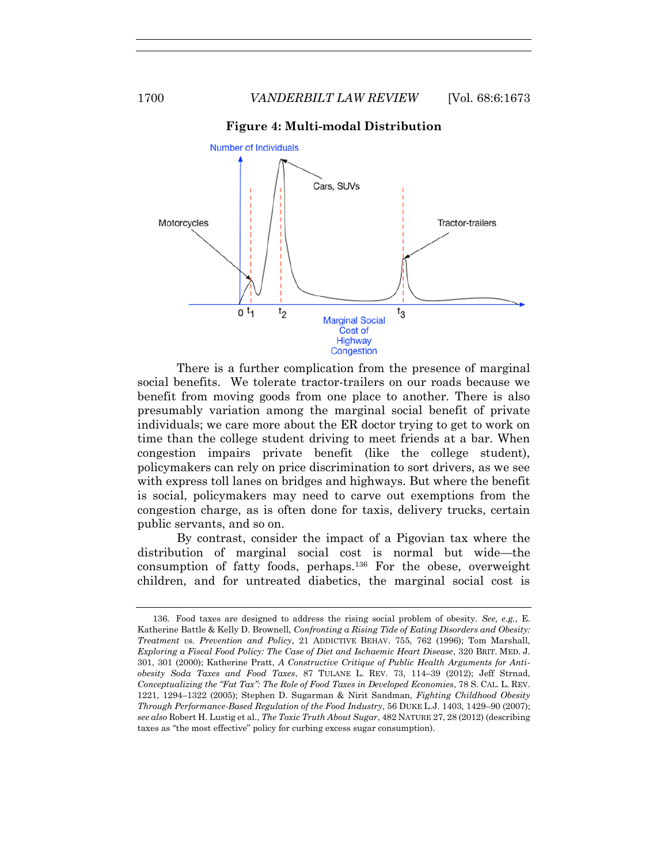



There is a further complication from the presence of marginal social benefits. We tolerate tractor-trailers on our roads because we benefit from moving goods from one place to another. There is also presumably variation among the marginal social benefit of private individuals; we care more about the ER doctor trying to get to work on time than the college student driving to meet friends at a bar. When congestion impairs private benefit (like the college student), policymakers can rely on price discrimination to sort drivers, as we see with express toll lanes on bridges and highways. But where the benefit is social, policymakers may need to carve out exemptions from the congestion charge, as is often done for taxis, delivery trucks, certain public servants, and so on.

By contrast, consider the impact of a Pigovian tax where the distribution of marginal social cost is normal but wide—the consumption of fatty foods, perhaps.136 For the obese, overweight children, and for untreated diabetics, the marginal social cost is

<sup>136.</sup> Food taxes are designed to address the rising social problem of obesity. *See, e.g.*, E. Katherine Battle & Kelly D. Brownell, *Confronting a Rising Tide of Eating Disorders and Obesity: Treatment vs. Prevention and Policy*, 21 ADDICTIVE BEHAV. 755, 762 (1996); Tom Marshall, *Exploring a Fiscal Food Policy: The Case of Diet and Ischaemic Heart Disease*, 320 BRIT. MED. J. 301, 301 (2000); Katherine Pratt, *A Constructive Critique of Public Health Arguments for Antiobesity Soda Taxes and Food Taxes*, 87 TULANE L. REV. 73, 114–39 (2012); Jeff Strnad, *Conceptualizing the "Fat Tax": The Role of Food Taxes in Developed Economies*, 78 S. CAL. L. REV. 1221, 1294–1322 (2005); Stephen D. Sugarman & Nirit Sandman, *Fighting Childhood Obesity Through Performance-Based Regulation of the Food Industry*, 56 DUKE L.J. 1403, 1429–90 (2007); *see also* Robert H. Lustig et al., *The Toxic Truth About Sugar*, 482 NATURE 27, 28 (2012) (describing taxes as "the most effective" policy for curbing excess sugar consumption).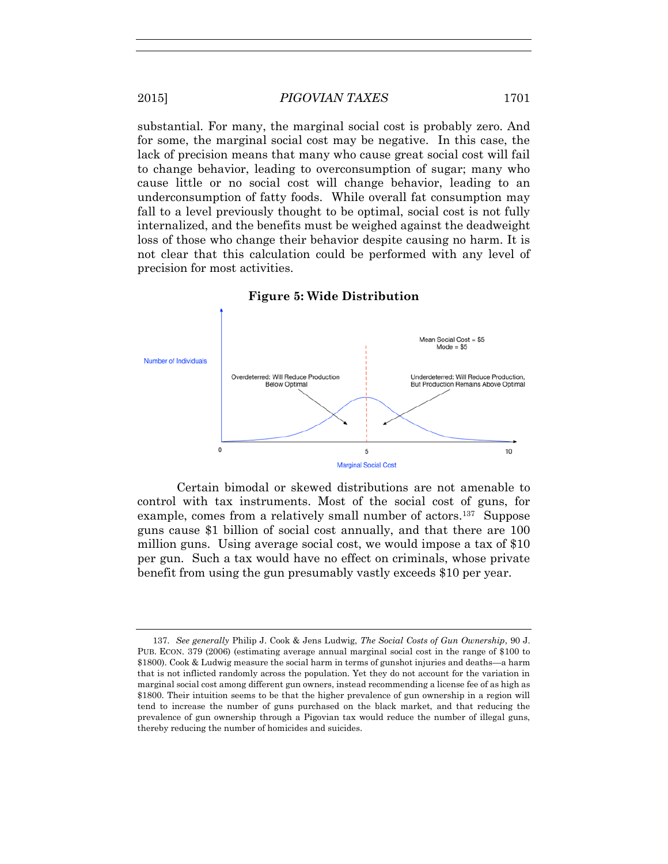substantial. For many, the marginal social cost is probably zero. And for some, the marginal social cost may be negative. In this case, the lack of precision means that many who cause great social cost will fail to change behavior, leading to overconsumption of sugar; many who cause little or no social cost will change behavior, leading to an underconsumption of fatty foods. While overall fat consumption may fall to a level previously thought to be optimal, social cost is not fully internalized, and the benefits must be weighed against the deadweight loss of those who change their behavior despite causing no harm. It is not clear that this calculation could be performed with any level of precision for most activities.



**Figure 5: Wide Distribution** 

Certain bimodal or skewed distributions are not amenable to control with tax instruments. Most of the social cost of guns, for example, comes from a relatively small number of actors.<sup>137</sup> Suppose guns cause \$1 billion of social cost annually, and that there are 100 million guns. Using average social cost, we would impose a tax of \$10 per gun. Such a tax would have no effect on criminals, whose private benefit from using the gun presumably vastly exceeds \$10 per year.

<sup>137.</sup> *See generally* Philip J. Cook & Jens Ludwig, *The Social Costs of Gun Ownership*, 90 J. PUB. ECON. 379 (2006) (estimating average annual marginal social cost in the range of \$100 to \$1800). Cook & Ludwig measure the social harm in terms of gunshot injuries and deaths—a harm that is not inflicted randomly across the population. Yet they do not account for the variation in marginal social cost among different gun owners, instead recommending a license fee of as high as \$1800. Their intuition seems to be that the higher prevalence of gun ownership in a region will tend to increase the number of guns purchased on the black market, and that reducing the prevalence of gun ownership through a Pigovian tax would reduce the number of illegal guns, thereby reducing the number of homicides and suicides.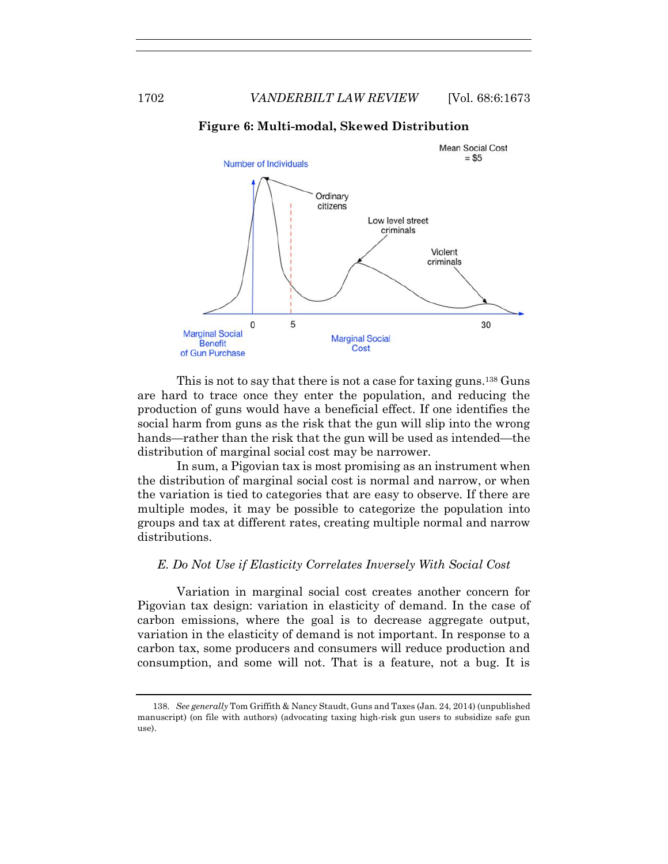

#### **Figure 6: Multi-modal, Skewed Distribution**

This is not to say that there is not a case for taxing guns.<sup>138</sup> Guns are hard to trace once they enter the population, and reducing the production of guns would have a beneficial effect. If one identifies the social harm from guns as the risk that the gun will slip into the wrong hands—rather than the risk that the gun will be used as intended—the distribution of marginal social cost may be narrower.

In sum, a Pigovian tax is most promising as an instrument when the distribution of marginal social cost is normal and narrow, or when the variation is tied to categories that are easy to observe. If there are multiple modes, it may be possible to categorize the population into groups and tax at different rates, creating multiple normal and narrow distributions.

#### *E. Do Not Use if Elasticity Correlates Inversely With Social Cost*

Variation in marginal social cost creates another concern for Pigovian tax design: variation in elasticity of demand. In the case of carbon emissions, where the goal is to decrease aggregate output, variation in the elasticity of demand is not important. In response to a carbon tax, some producers and consumers will reduce production and consumption, and some will not. That is a feature, not a bug. It is

<sup>138.</sup> *See generally* Tom Griffith & Nancy Staudt, Guns and Taxes (Jan. 24, 2014) (unpublished manuscript) (on file with authors) (advocating taxing high-risk gun users to subsidize safe gun use).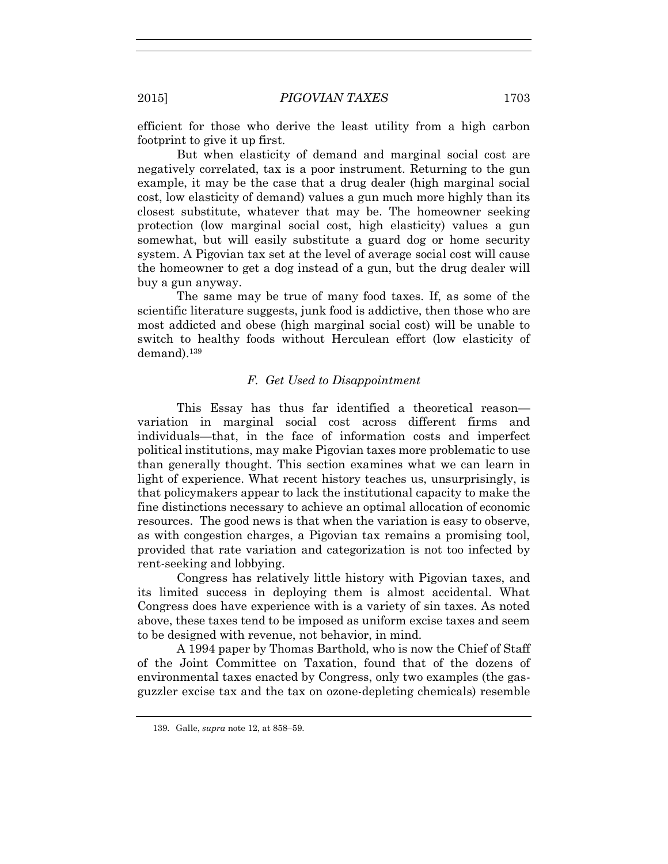efficient for those who derive the least utility from a high carbon footprint to give it up first.

But when elasticity of demand and marginal social cost are negatively correlated, tax is a poor instrument. Returning to the gun example, it may be the case that a drug dealer (high marginal social cost, low elasticity of demand) values a gun much more highly than its closest substitute, whatever that may be. The homeowner seeking protection (low marginal social cost, high elasticity) values a gun somewhat, but will easily substitute a guard dog or home security system. A Pigovian tax set at the level of average social cost will cause the homeowner to get a dog instead of a gun, but the drug dealer will buy a gun anyway.

The same may be true of many food taxes. If, as some of the scientific literature suggests, junk food is addictive, then those who are most addicted and obese (high marginal social cost) will be unable to switch to healthy foods without Herculean effort (low elasticity of demand).<sup>139</sup>

## *F. Get Used to Disappointment*

This Essay has thus far identified a theoretical reason variation in marginal social cost across different firms and individuals—that, in the face of information costs and imperfect political institutions, may make Pigovian taxes more problematic to use than generally thought. This section examines what we can learn in light of experience. What recent history teaches us, unsurprisingly, is that policymakers appear to lack the institutional capacity to make the fine distinctions necessary to achieve an optimal allocation of economic resources. The good news is that when the variation is easy to observe, as with congestion charges, a Pigovian tax remains a promising tool, provided that rate variation and categorization is not too infected by rent-seeking and lobbying.

Congress has relatively little history with Pigovian taxes, and its limited success in deploying them is almost accidental. What Congress does have experience with is a variety of sin taxes. As noted above, these taxes tend to be imposed as uniform excise taxes and seem to be designed with revenue, not behavior, in mind.

A 1994 paper by Thomas Barthold, who is now the Chief of Staff of the Joint Committee on Taxation, found that of the dozens of environmental taxes enacted by Congress, only two examples (the gasguzzler excise tax and the tax on ozone-depleting chemicals) resemble

<sup>139.</sup> Galle, *supra* note 12, at 858–59.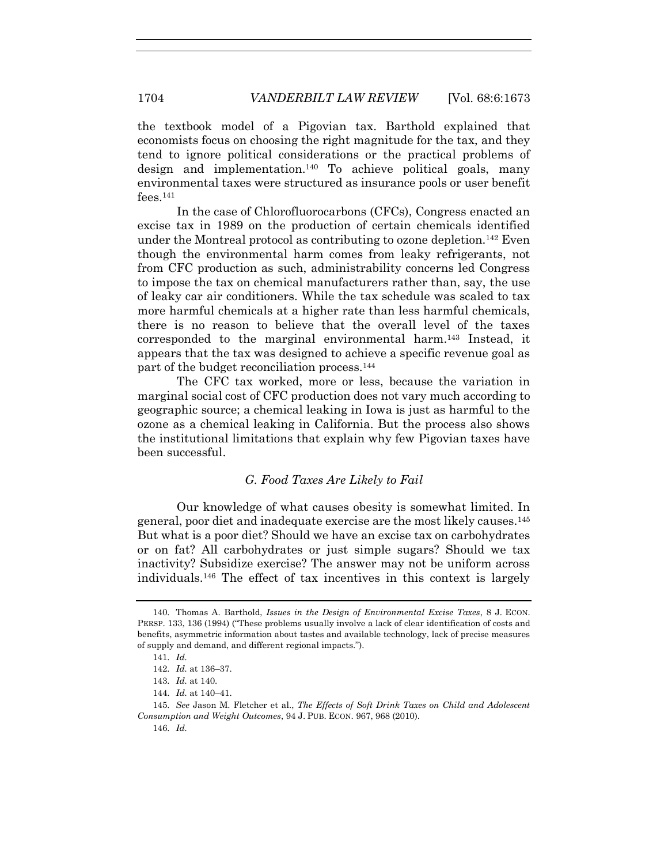the textbook model of a Pigovian tax. Barthold explained that economists focus on choosing the right magnitude for the tax, and they tend to ignore political considerations or the practical problems of design and implementation.140 To achieve political goals, many environmental taxes were structured as insurance pools or user benefit fees.<sup>141</sup>

In the case of Chlorofluorocarbons (CFCs), Congress enacted an excise tax in 1989 on the production of certain chemicals identified under the Montreal protocol as contributing to ozone depletion.142 Even though the environmental harm comes from leaky refrigerants, not from CFC production as such, administrability concerns led Congress to impose the tax on chemical manufacturers rather than, say, the use of leaky car air conditioners. While the tax schedule was scaled to tax more harmful chemicals at a higher rate than less harmful chemicals, there is no reason to believe that the overall level of the taxes corresponded to the marginal environmental harm.143 Instead, it appears that the tax was designed to achieve a specific revenue goal as part of the budget reconciliation process.<sup>144</sup>

The CFC tax worked, more or less, because the variation in marginal social cost of CFC production does not vary much according to geographic source; a chemical leaking in Iowa is just as harmful to the ozone as a chemical leaking in California. But the process also shows the institutional limitations that explain why few Pigovian taxes have been successful.

# *G. Food Taxes Are Likely to Fail*

Our knowledge of what causes obesity is somewhat limited. In general, poor diet and inadequate exercise are the most likely causes.<sup>145</sup> But what is a poor diet? Should we have an excise tax on carbohydrates or on fat? All carbohydrates or just simple sugars? Should we tax inactivity? Subsidize exercise? The answer may not be uniform across individuals.146 The effect of tax incentives in this context is largely

144. *Id.* at 140–41.

<sup>140.</sup> Thomas A. Barthold, *Issues in the Design of Environmental Excise Taxes*, 8 J. ECON. PERSP. 133, 136 (1994) ("These problems usually involve a lack of clear identification of costs and benefits, asymmetric information about tastes and available technology, lack of precise measures of supply and demand, and different regional impacts.").

<sup>141.</sup> *Id.*

<sup>142.</sup> *Id.* at 136–37.

<sup>143.</sup> *Id.* at 140.

<sup>145.</sup> *See* Jason M. Fletcher et al., *The Effects of Soft Drink Taxes on Child and Adolescent Consumption and Weight Outcomes*, 94 J. PUB. ECON. 967, 968 (2010).

<sup>146.</sup> *Id.*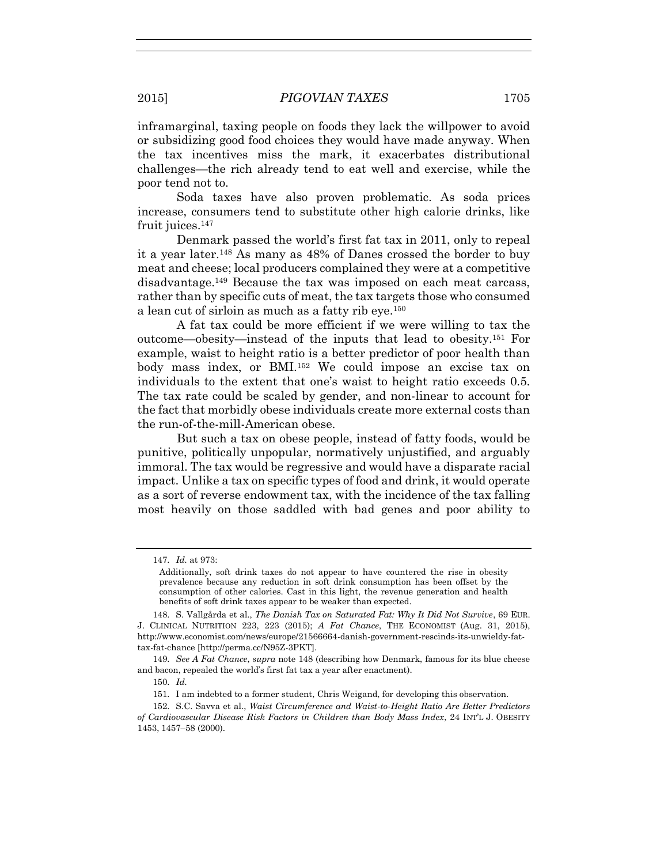inframarginal, taxing people on foods they lack the willpower to avoid or subsidizing good food choices they would have made anyway. When the tax incentives miss the mark, it exacerbates distributional challenges—the rich already tend to eat well and exercise, while the poor tend not to.

Soda taxes have also proven problematic. As soda prices increase, consumers tend to substitute other high calorie drinks, like fruit juices.<sup>147</sup>

Denmark passed the world's first fat tax in 2011, only to repeal it a year later.148 As many as 48% of Danes crossed the border to buy meat and cheese; local producers complained they were at a competitive disadvantage.149 Because the tax was imposed on each meat carcass, rather than by specific cuts of meat, the tax targets those who consumed a lean cut of sirloin as much as a fatty rib eye.<sup>150</sup>

A fat tax could be more efficient if we were willing to tax the outcome—obesity—instead of the inputs that lead to obesity.<sup>151</sup> For example, waist to height ratio is a better predictor of poor health than body mass index, or BMI.<sup>152</sup> We could impose an excise tax on individuals to the extent that one's waist to height ratio exceeds 0.5. The tax rate could be scaled by gender, and non-linear to account for the fact that morbidly obese individuals create more external costs than the run-of-the-mill-American obese.

But such a tax on obese people, instead of fatty foods, would be punitive, politically unpopular, normatively unjustified, and arguably immoral. The tax would be regressive and would have a disparate racial impact. Unlike a tax on specific types of food and drink, it would operate as a sort of reverse endowment tax, with the incidence of the tax falling most heavily on those saddled with bad genes and poor ability to

<sup>147.</sup> *Id.* at 973:

Additionally, soft drink taxes do not appear to have countered the rise in obesity prevalence because any reduction in soft drink consumption has been offset by the consumption of other calories. Cast in this light, the revenue generation and health benefits of soft drink taxes appear to be weaker than expected.

<sup>148.</sup> S. Vallgårda et al., *The Danish Tax on Saturated Fat: Why It Did Not Survive*, 69 EUR. J. CLINICAL NUTRITION 223, 223 (2015); *A Fat Chance*, THE ECONOMIST (Aug. 31, 2015), http://www.economist.com/news/europe/21566664-danish-government-rescinds-its-unwieldy-fattax-fat-chance [http://perma.cc/N95Z-3PKT].

<sup>149.</sup> *See A Fat Chance*, *supra* note 148 (describing how Denmark, famous for its blue cheese and bacon, repealed the world's first fat tax a year after enactment).

<sup>150.</sup> *Id.*

<sup>151.</sup> I am indebted to a former student, Chris Weigand, for developing this observation.

<sup>152.</sup> S.C. Savva et al., *Waist Circumference and Waist-to-Height Ratio Are Better Predictors of Cardiovascular Disease Risk Factors in Children than Body Mass Index*, 24 INT'L J. OBESITY 1453, 1457–58 (2000).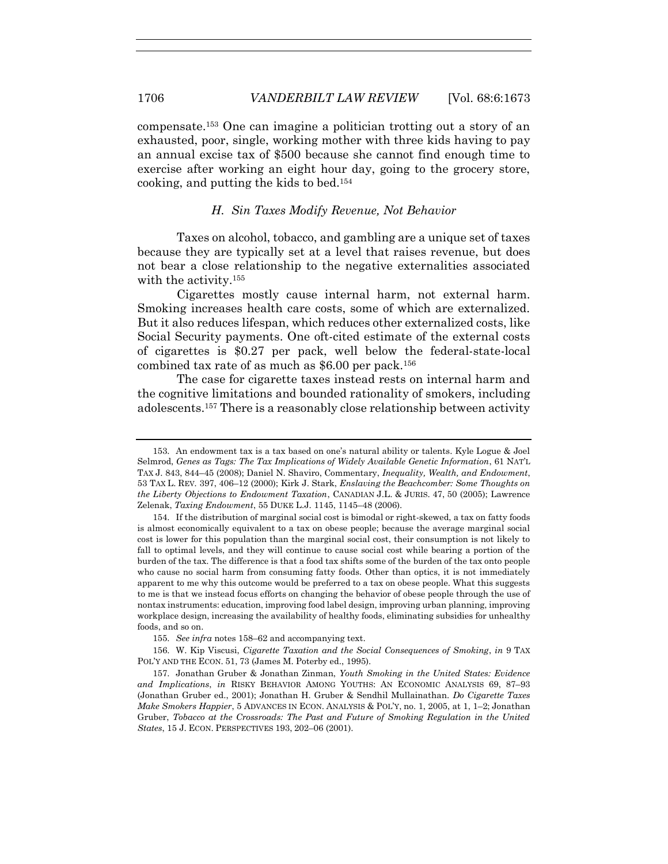compensate.153 One can imagine a politician trotting out a story of an exhausted, poor, single, working mother with three kids having to pay an annual excise tax of \$500 because she cannot find enough time to exercise after working an eight hour day, going to the grocery store, cooking, and putting the kids to bed.<sup>154</sup>

#### *H. Sin Taxes Modify Revenue, Not Behavior*

Taxes on alcohol, tobacco, and gambling are a unique set of taxes because they are typically set at a level that raises revenue, but does not bear a close relationship to the negative externalities associated with the activity.<sup>155</sup>

Cigarettes mostly cause internal harm, not external harm. Smoking increases health care costs, some of which are externalized. But it also reduces lifespan, which reduces other externalized costs, like Social Security payments. One oft-cited estimate of the external costs of cigarettes is \$0.27 per pack, well below the federal-state-local combined tax rate of as much as  $$6.00$  per pack.<sup>156</sup>

The case for cigarette taxes instead rests on internal harm and the cognitive limitations and bounded rationality of smokers, including adolescents.<sup>157</sup> There is a reasonably close relationship between activity

<sup>153.</sup> An endowment tax is a tax based on one's natural ability or talents. Kyle Logue & Joel Selmrod, *Genes as Tags: The Tax Implications of Widely Available Genetic Information*, 61 NAT'L TAX J. 843, 844–45 (2008); Daniel N. Shaviro, Commentary, *Inequality, Wealth, and Endowment*, 53 TAX L. REV*.* 397, 406–12 (2000); Kirk J. Stark, *Enslaving the Beachcomber: Some Thoughts on the Liberty Objections to Endowment Taxation*, CANADIAN J.L. & JURIS. 47, 50 (2005); Lawrence Zelenak, *Taxing Endowment*, 55 DUKE L.J. 1145, 1145–48 (2006).

<sup>154.</sup> If the distribution of marginal social cost is bimodal or right-skewed, a tax on fatty foods is almost economically equivalent to a tax on obese people; because the average marginal social cost is lower for this population than the marginal social cost, their consumption is not likely to fall to optimal levels, and they will continue to cause social cost while bearing a portion of the burden of the tax. The difference is that a food tax shifts some of the burden of the tax onto people who cause no social harm from consuming fatty foods. Other than optics, it is not immediately apparent to me why this outcome would be preferred to a tax on obese people. What this suggests to me is that we instead focus efforts on changing the behavior of obese people through the use of nontax instruments: education, improving food label design, improving urban planning, improving workplace design, increasing the availability of healthy foods, eliminating subsidies for unhealthy foods, and so on.

<sup>155.</sup> *See infra* notes 158–62 and accompanying text.

<sup>156.</sup> W. Kip Viscusi, *Cigarette Taxation and the Social Consequences of Smoking*, *in* 9 TAX POL'Y AND THE ECON. 51, 73 (James M. Poterby ed., 1995).

<sup>157.</sup> Jonathan Gruber & Jonathan Zinman, *Youth Smoking in the United States: Evidence and Implications*, *in* RISKY BEHAVIOR AMONG YOUTHS: AN ECONOMIC ANALYSIS 69, 87–93 (Jonathan Gruber ed., 2001); Jonathan H. Gruber & Sendhil Mullainathan. *Do Cigarette Taxes Make Smokers Happier*, 5 ADVANCES IN ECON. ANALYSIS & POL'Y, no. 1, 2005, at 1, 1–2; Jonathan Gruber, *Tobacco at the Crossroads: The Past and Future of Smoking Regulation in the United States*, 15 J. ECON. PERSPECTIVES 193, 202–06 (2001).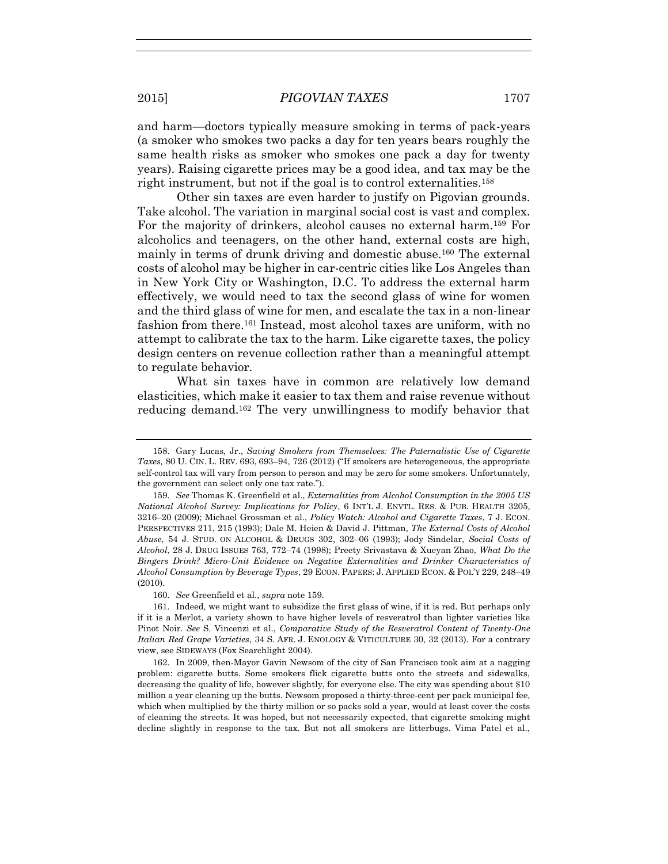and harm—doctors typically measure smoking in terms of pack-years (a smoker who smokes two packs a day for ten years bears roughly the same health risks as smoker who smokes one pack a day for twenty years). Raising cigarette prices may be a good idea, and tax may be the right instrument, but not if the goal is to control externalities.<sup>158</sup>

Other sin taxes are even harder to justify on Pigovian grounds. Take alcohol. The variation in marginal social cost is vast and complex. For the majority of drinkers, alcohol causes no external harm.159 For alcoholics and teenagers, on the other hand, external costs are high, mainly in terms of drunk driving and domestic abuse.160 The external costs of alcohol may be higher in car-centric cities like Los Angeles than in New York City or Washington, D.C. To address the external harm effectively, we would need to tax the second glass of wine for women and the third glass of wine for men, and escalate the tax in a non-linear fashion from there.161 Instead, most alcohol taxes are uniform, with no attempt to calibrate the tax to the harm. Like cigarette taxes, the policy design centers on revenue collection rather than a meaningful attempt to regulate behavior.

What sin taxes have in common are relatively low demand elasticities, which make it easier to tax them and raise revenue without reducing demand.162 The very unwillingness to modify behavior that

<sup>158.</sup> Gary Lucas, Jr., *Saving Smokers from Themselves: The Paternalistic Use of Cigarette Taxes,* 80 U. CIN. L. REV. 693, 693–94, 726 (2012) ("If smokers are heterogeneous, the appropriate self-control tax will vary from person to person and may be zero for some smokers. Unfortunately, the government can select only one tax rate.").

<sup>159.</sup> *See* Thomas K. Greenfield et al., *Externalities from Alcohol Consumption in the 2005 US National Alcohol Survey: Implications for Policy*, 6 INT'L J. ENVTL. RES. & PUB. HEALTH 3205, 3216–20 (2009); Michael Grossman et al., *Policy Watch: Alcohol and Cigarette Taxes*, 7 J. ECON. PERSPECTIVES 211, 215 (1993); Dale M. Heien & David J. Pittman, *The External Costs of Alcohol Abuse*, 54 J. STUD. ON ALCOHOL & DRUGS 302, 302–06 (1993); Jody Sindelar, *Social Costs of Alcohol*, 28 J. DRUG ISSUES 763, 772–74 (1998); Preety Srivastava & Xueyan Zhao, *What Do the Bingers Drink? Micro-Unit Evidence on Negative Externalities and Drinker Characteristics of Alcohol Consumption by Beverage Types*, 29 ECON. PAPERS: J. APPLIED ECON. & POL'Y 229, 248–49 (2010).

<sup>160.</sup> *See* Greenfield et al., *supra* note 159.

<sup>161.</sup> Indeed, we might want to subsidize the first glass of wine, if it is red. But perhaps only if it is a Merlot, a variety shown to have higher levels of resveratrol than lighter varieties like Pinot Noir. *See* S. Vincenzi et al., *Comparative Study of the Resveratrol Content of Twenty-One Italian Red Grape Varieties*, 34 S. AFR. J. ENOLOGY & VITICULTURE 30, 32 (2013). For a contrary view, see SIDEWAYS (Fox Searchlight 2004).

<sup>162.</sup> In 2009, then-Mayor Gavin Newsom of the city of San Francisco took aim at a nagging problem: cigarette butts. Some smokers flick cigarette butts onto the streets and sidewalks, decreasing the quality of life, however slightly, for everyone else. The city was spending about \$10 million a year cleaning up the butts. Newsom proposed a thirty-three-cent per pack municipal fee, which when multiplied by the thirty million or so packs sold a year, would at least cover the costs of cleaning the streets. It was hoped, but not necessarily expected, that cigarette smoking might decline slightly in response to the tax. But not all smokers are litterbugs. Vima Patel et al.,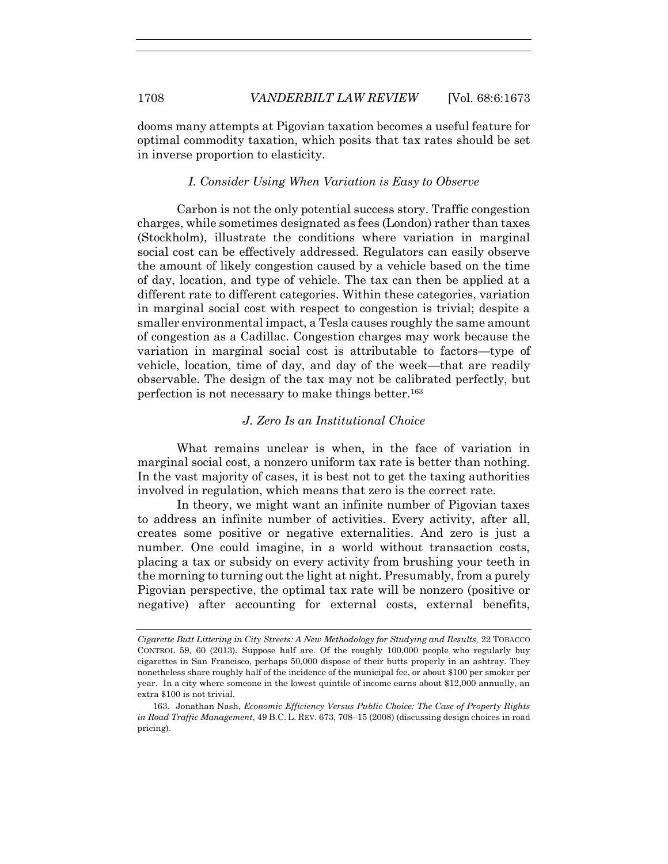dooms many attempts at Pigovian taxation becomes a useful feature for optimal commodity taxation, which posits that tax rates should be set in inverse proportion to elasticity.

#### *I. Consider Using When Variation is Easy to Observe*

Carbon is not the only potential success story. Traffic congestion charges, while sometimes designated as fees (London) rather than taxes (Stockholm), illustrate the conditions where variation in marginal social cost can be effectively addressed. Regulators can easily observe the amount of likely congestion caused by a vehicle based on the time of day, location, and type of vehicle. The tax can then be applied at a different rate to different categories. Within these categories, variation in marginal social cost with respect to congestion is trivial; despite a smaller environmental impact, a Tesla causes roughly the same amount of congestion as a Cadillac. Congestion charges may work because the variation in marginal social cost is attributable to factors—type of vehicle, location, time of day, and day of the week—that are readily observable. The design of the tax may not be calibrated perfectly, but perfection is not necessary to make things better.<sup>163</sup>

#### *J. Zero Is an Institutional Choice*

What remains unclear is when, in the face of variation in marginal social cost, a nonzero uniform tax rate is better than nothing. In the vast majority of cases, it is best not to get the taxing authorities involved in regulation, which means that zero is the correct rate.

In theory, we might want an infinite number of Pigovian taxes to address an infinite number of activities. Every activity, after all, creates some positive or negative externalities. And zero is just a number. One could imagine, in a world without transaction costs, placing a tax or subsidy on every activity from brushing your teeth in the morning to turning out the light at night. Presumably, from a purely Pigovian perspective, the optimal tax rate will be nonzero (positive or negative) after accounting for external costs, external benefits,

*Cigarette Butt Littering in City Streets: A New Methodology for Studying and Results,* 22 TOBACCO CONTROL 59, 60 (2013). Suppose half are. Of the roughly 100,000 people who regularly buy cigarettes in San Francisco, perhaps 50,000 dispose of their butts properly in an ashtray. They nonetheless share roughly half of the incidence of the municipal fee, or about \$100 per smoker per year. In a city where someone in the lowest quintile of income earns about \$12,000 annually, an extra \$100 is not trivial.

<sup>163.</sup> Jonathan Nash, *Economic Efficiency Versus Public Choice: The Case of Property Rights in Road Traffic Management*, 49 B.C. L. REV. 673, 708–15 (2008) (discussing design choices in road pricing).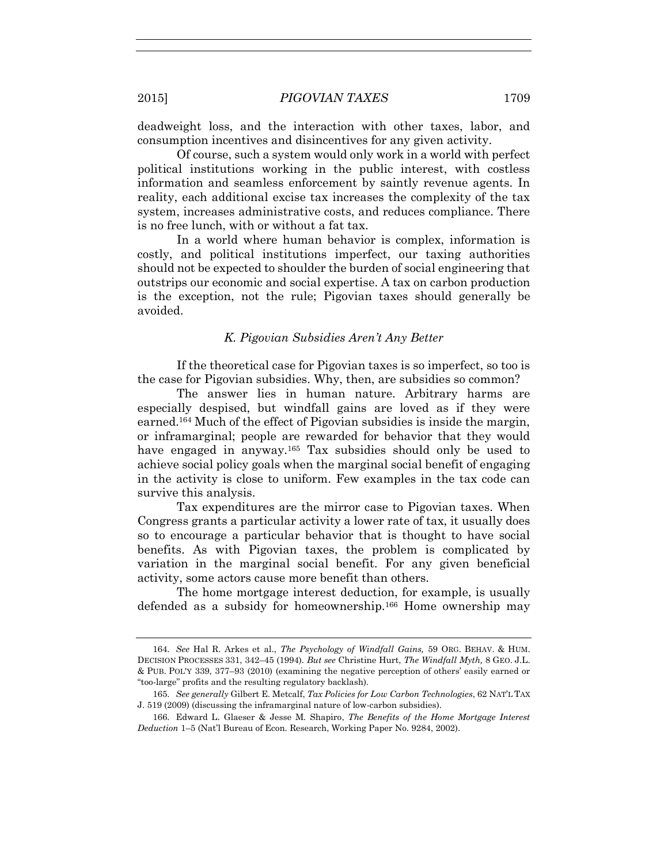deadweight loss, and the interaction with other taxes, labor, and consumption incentives and disincentives for any given activity.

Of course, such a system would only work in a world with perfect political institutions working in the public interest, with costless information and seamless enforcement by saintly revenue agents. In reality, each additional excise tax increases the complexity of the tax system, increases administrative costs, and reduces compliance. There is no free lunch, with or without a fat tax.

In a world where human behavior is complex, information is costly, and political institutions imperfect, our taxing authorities should not be expected to shoulder the burden of social engineering that outstrips our economic and social expertise. A tax on carbon production is the exception, not the rule; Pigovian taxes should generally be avoided.

## *K. Pigovian Subsidies Aren't Any Better*

If the theoretical case for Pigovian taxes is so imperfect, so too is the case for Pigovian subsidies. Why, then, are subsidies so common?

The answer lies in human nature. Arbitrary harms are especially despised, but windfall gains are loved as if they were earned.164 Much of the effect of Pigovian subsidies is inside the margin, or inframarginal; people are rewarded for behavior that they would have engaged in anyway.<sup>165</sup> Tax subsidies should only be used to achieve social policy goals when the marginal social benefit of engaging in the activity is close to uniform. Few examples in the tax code can survive this analysis.

Tax expenditures are the mirror case to Pigovian taxes. When Congress grants a particular activity a lower rate of tax, it usually does so to encourage a particular behavior that is thought to have social benefits. As with Pigovian taxes, the problem is complicated by variation in the marginal social benefit. For any given beneficial activity, some actors cause more benefit than others.

The home mortgage interest deduction, for example, is usually defended as a subsidy for homeownership.166 Home ownership may

<sup>164.</sup> *See* Hal R. Arkes et al., *The Psychology of Windfall Gains,* 59 ORG. BEHAV. & HUM. DECISION PROCESSES 331, 342–45 (1994). *But see* Christine Hurt, *The Windfall Myth,* 8 GEO. J.L. & PUB. POL'Y 339, 377–93 (2010) (examining the negative perception of others' easily earned or "too-large" profits and the resulting regulatory backlash).

<sup>165.</sup> *See generally* Gilbert E. Metcalf, *Tax Policies for Low Carbon Technologies*, 62 NAT'L TAX J. 519 (2009) (discussing the inframarginal nature of low-carbon subsidies).

<sup>166.</sup> Edward L. Glaeser & Jesse M. Shapiro, *The Benefits of the Home Mortgage Interest Deduction* 1–5 (Nat'l Bureau of Econ. Research, Working Paper No. 9284, 2002).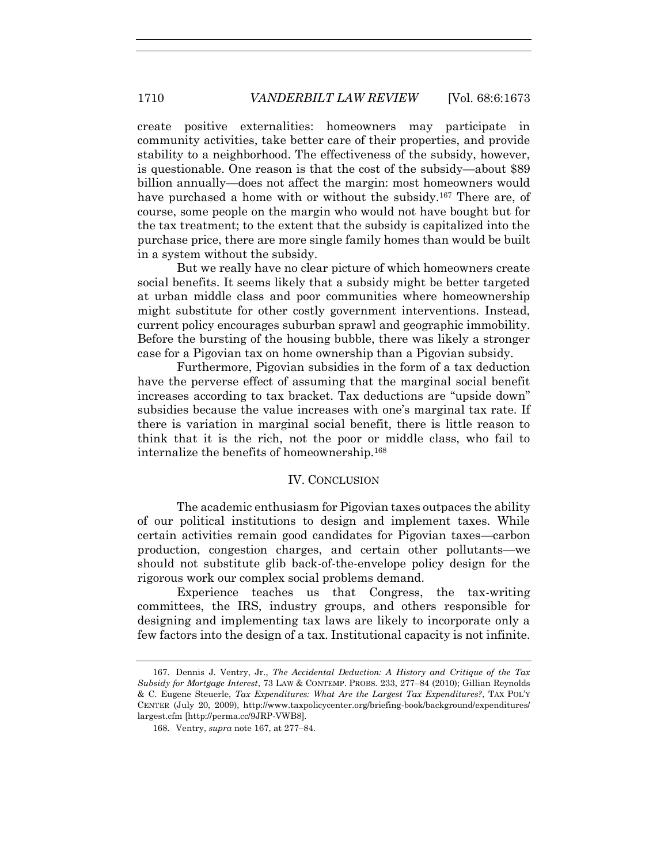create positive externalities: homeowners may participate in community activities, take better care of their properties, and provide stability to a neighborhood. The effectiveness of the subsidy, however, is questionable. One reason is that the cost of the subsidy—about \$89 billion annually—does not affect the margin: most homeowners would have purchased a home with or without the subsidy.<sup>167</sup> There are, of course, some people on the margin who would not have bought but for the tax treatment; to the extent that the subsidy is capitalized into the purchase price, there are more single family homes than would be built in a system without the subsidy.

But we really have no clear picture of which homeowners create social benefits. It seems likely that a subsidy might be better targeted at urban middle class and poor communities where homeownership might substitute for other costly government interventions. Instead, current policy encourages suburban sprawl and geographic immobility. Before the bursting of the housing bubble, there was likely a stronger case for a Pigovian tax on home ownership than a Pigovian subsidy.

Furthermore, Pigovian subsidies in the form of a tax deduction have the perverse effect of assuming that the marginal social benefit increases according to tax bracket. Tax deductions are "upside down" subsidies because the value increases with one's marginal tax rate. If there is variation in marginal social benefit, there is little reason to think that it is the rich, not the poor or middle class, who fail to internalize the benefits of homeownership.<sup>168</sup>

#### IV. CONCLUSION

The academic enthusiasm for Pigovian taxes outpaces the ability of our political institutions to design and implement taxes. While certain activities remain good candidates for Pigovian taxes—carbon production, congestion charges, and certain other pollutants—we should not substitute glib back-of-the-envelope policy design for the rigorous work our complex social problems demand.

Experience teaches us that Congress, the tax-writing committees, the IRS, industry groups, and others responsible for designing and implementing tax laws are likely to incorporate only a few factors into the design of a tax. Institutional capacity is not infinite.

<sup>167.</sup> Dennis J. Ventry, Jr., *The Accidental Deduction: A History and Critique of the Tax Subsidy for Mortgage Interest*, 73 LAW & CONTEMP. PROBS. 233, 277–84 (2010); Gillian Reynolds & C. Eugene Steuerle, *Tax Expenditures: What Are the Largest Tax Expenditures?*, TAX POL'Y CENTER (July 20, 2009), http://www.taxpolicycenter.org/briefing-book/background/expenditures/ largest.cfm [http://perma.cc/9JRP-VWB8].

<sup>168.</sup> Ventry, *supra* note 167, at 277–84.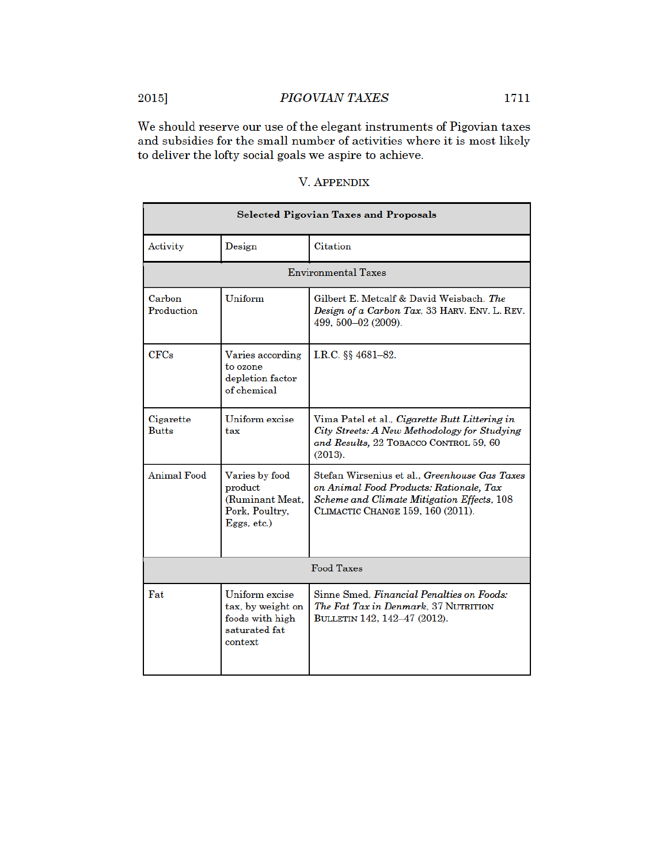We should reserve our use of the elegant instruments of Pigovian taxes and subsidies for the small number of activities where it is most likely to deliver the lofty social goals we aspire to achieve.

| <b>Selected Pigovian Taxes and Proposals</b> |                                                                                    |                                                                                                                                                                             |  |  |  |  |
|----------------------------------------------|------------------------------------------------------------------------------------|-----------------------------------------------------------------------------------------------------------------------------------------------------------------------------|--|--|--|--|
| Activity                                     | Design                                                                             | Citation                                                                                                                                                                    |  |  |  |  |
| <b>Environmental Taxes</b>                   |                                                                                    |                                                                                                                                                                             |  |  |  |  |
| Carbon<br>Production                         | Uniform                                                                            | Gilbert E. Metcalf & David Weisbach. The<br>Design of a Carbon Tax. 33 HARV. ENV. L. REV.<br>499, 500-02 (2009).                                                            |  |  |  |  |
| CFCs                                         | Varies according<br>to ozone<br>depletion factor<br>of chemical                    | I.R.C. §§ 4681-82.                                                                                                                                                          |  |  |  |  |
| Cigarette<br><b>Butts</b>                    | Uniform excise<br>tax                                                              | Vima Patel et al., Cigarette Butt Littering in<br>City Streets: A New Methodology for Studying<br>and Results, 22 TOBACCO CONTROL 59, 60<br>(2013).                         |  |  |  |  |
| Animal Food                                  | Varies by food<br>product<br>(Ruminant Meat.<br>Pork, Poultry,<br>Eggs, etc.)      | Stefan Wirsenius et al., Greenhouse Gas Taxes<br>on Animal Food Products: Rationale, Tax<br>Scheme and Climate Mitigation Effects, 108<br>CLIMACTIC CHANGE 159, 160 (2011). |  |  |  |  |
| <b>Food Taxes</b>                            |                                                                                    |                                                                                                                                                                             |  |  |  |  |
| Fat                                          | Uniform excise<br>tax, by weight on<br>foods with high<br>saturated fat<br>context | Sinne Smed. Financial Penalties on Foods:<br>The Fat Tax in Denmark, 37 NUTRITION<br>BULLETIN 142, 142-47 (2012).                                                           |  |  |  |  |

# **V. APPENDIX**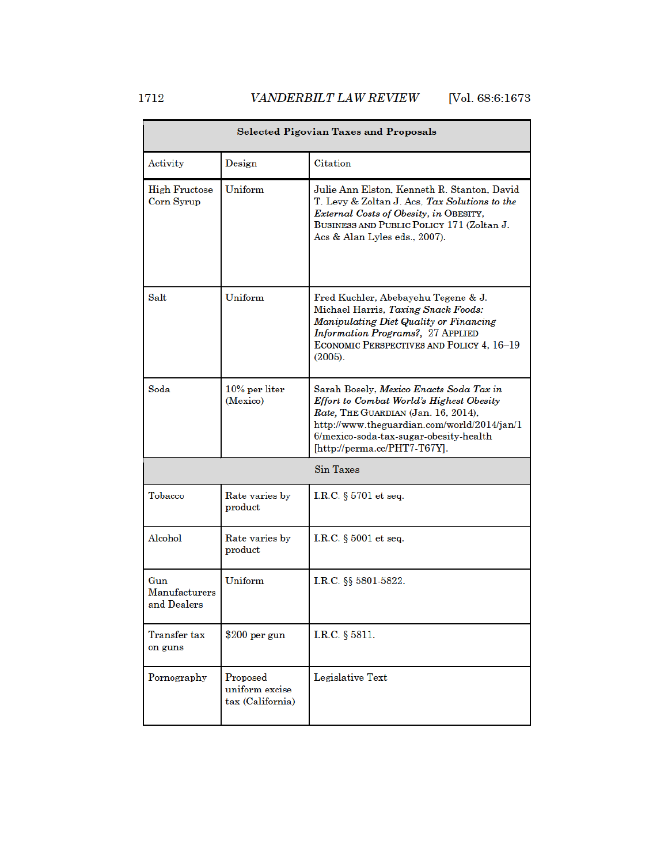| <b>Selected Pigovian Taxes and Proposals</b> |                                                |                                                                                                                                                                                                                                                     |  |  |  |
|----------------------------------------------|------------------------------------------------|-----------------------------------------------------------------------------------------------------------------------------------------------------------------------------------------------------------------------------------------------------|--|--|--|
| Activity                                     | Design                                         | Citation                                                                                                                                                                                                                                            |  |  |  |
| <b>High Fructose</b><br>Corn Syrup           | Uniform                                        | Julie Ann Elston. Kenneth R. Stanton. David<br>T. Levy & Zoltan J. Acs, Tax Solutions to the<br>External Costs of Obesity, in OBESITY,<br>BUSINESS AND PUBLIC POLICY 171 (Zoltan J.<br>Acs & Alan Lyles eds., 2007).                                |  |  |  |
| Salt                                         | Uniform                                        | Fred Kuchler, Abebayehu Tegene & J.<br>Michael Harris, Taxing Snack Foods:<br>Manipulating Diet Quality or Financing<br>Information Programs?, 27 APPLIED<br>ECONOMIC PERSPECTIVES AND POLICY 4, 16-19<br>(2005).                                   |  |  |  |
| Soda                                         | $10\%$ per liter<br>(Mexico)                   | Sarah Bosely, Mexico Enacts Soda Tax in<br>Effort to Combat World's Highest Obesity<br>Rate, THE GUARDIAN (Jan. 16, 2014),<br>http://www.theguardian.com/world/2014/jan/1<br>6/mexico-soda-tax-sugar-obesity-health<br>[http://perma.cc/PHT7-T67Y]. |  |  |  |
| Sin Taxes                                    |                                                |                                                                                                                                                                                                                                                     |  |  |  |
| Tobacco                                      | Rate varies by<br>product                      | I.R.C. $§$ 5701 et seq.                                                                                                                                                                                                                             |  |  |  |
| Alcohol                                      | Rate varies by<br>product                      | I.R.C. $§$ 5001 et seq.                                                                                                                                                                                                                             |  |  |  |
| Gun<br>Manufacturers<br>and Dealers          | Uniform                                        | I.R.C. §§ 5801-5822.                                                                                                                                                                                                                                |  |  |  |
| Transfer tax<br>on guns                      | $$200$ per gun                                 | I.R.C. § 5811.                                                                                                                                                                                                                                      |  |  |  |
| Pornography                                  | Proposed<br>uniform excise<br>tax (California) | Legislative Text                                                                                                                                                                                                                                    |  |  |  |